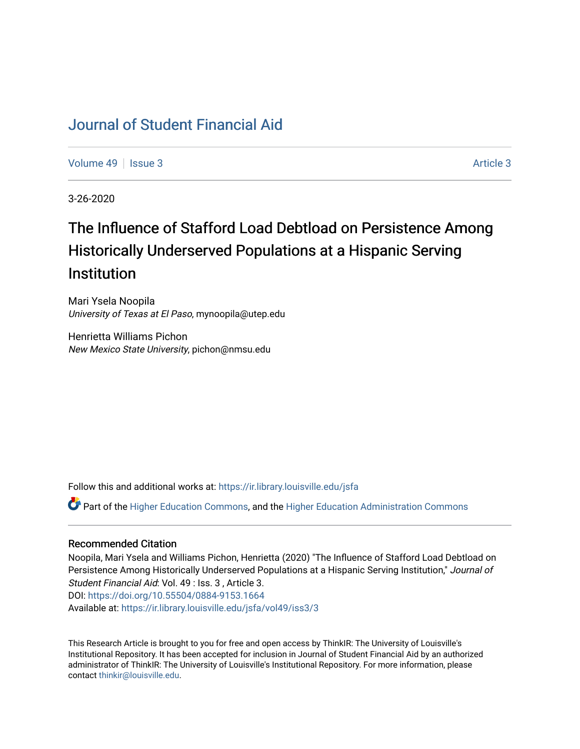# [Journal of Student Financial Aid](https://ir.library.louisville.edu/jsfa)

[Volume 49](https://ir.library.louisville.edu/jsfa/vol49) | [Issue 3](https://ir.library.louisville.edu/jsfa/vol49/iss3) Article 3

3-26-2020

# The Influence of Stafford Load Debtload on Persistence Among Historically Underserved Populations at a Hispanic Serving **Institution**

Mari Ysela Noopila University of Texas at El Paso, mynoopila@utep.edu

Henrietta Williams Pichon New Mexico State University, pichon@nmsu.edu

Follow this and additional works at: [https://ir.library.louisville.edu/jsfa](https://ir.library.louisville.edu/jsfa?utm_source=ir.library.louisville.edu%2Fjsfa%2Fvol49%2Fiss3%2F3&utm_medium=PDF&utm_campaign=PDFCoverPages) 

Part of the [Higher Education Commons,](http://network.bepress.com/hgg/discipline/1245?utm_source=ir.library.louisville.edu%2Fjsfa%2Fvol49%2Fiss3%2F3&utm_medium=PDF&utm_campaign=PDFCoverPages) and the [Higher Education Administration Commons](http://network.bepress.com/hgg/discipline/791?utm_source=ir.library.louisville.edu%2Fjsfa%2Fvol49%2Fiss3%2F3&utm_medium=PDF&utm_campaign=PDFCoverPages) 

#### Recommended Citation

Noopila, Mari Ysela and Williams Pichon, Henrietta (2020) "The Influence of Stafford Load Debtload on Persistence Among Historically Underserved Populations at a Hispanic Serving Institution," Journal of Student Financial Aid: Vol. 49 : Iss. 3 , Article 3. DOI:<https://doi.org/10.55504/0884-9153.1664> Available at: [https://ir.library.louisville.edu/jsfa/vol49/iss3/3](https://ir.library.louisville.edu/jsfa/vol49/iss3/3?utm_source=ir.library.louisville.edu%2Fjsfa%2Fvol49%2Fiss3%2F3&utm_medium=PDF&utm_campaign=PDFCoverPages) 

This Research Article is brought to you for free and open access by ThinkIR: The University of Louisville's Institutional Repository. It has been accepted for inclusion in Journal of Student Financial Aid by an authorized administrator of ThinkIR: The University of Louisville's Institutional Repository. For more information, please contact [thinkir@louisville.edu](mailto:thinkir@louisville.edu).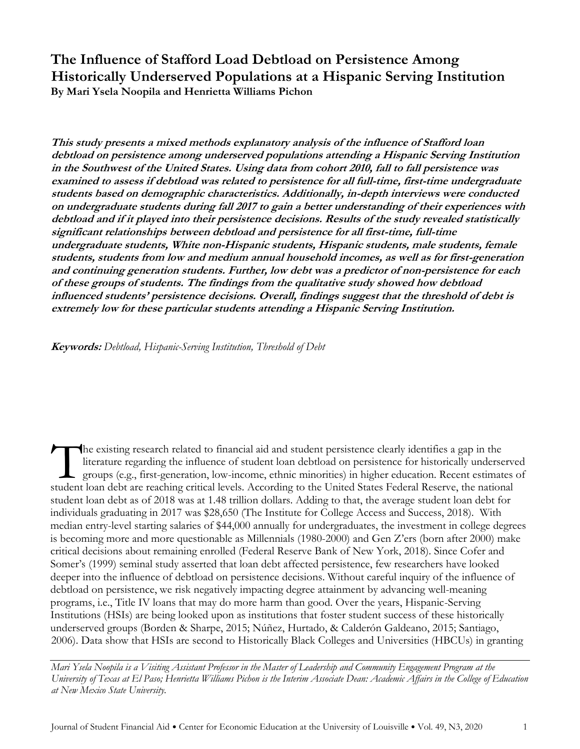**The Influence of Stafford Load Debtload on Persistence Among Historically Underserved Populations at a Hispanic Serving Institution By Mari Ysela Noopila and Henrietta Williams Pichon**

**This study presents a mixed methods explanatory analysis of the influence of Stafford loan debtload on persistence among underserved populations attending a Hispanic Serving Institution in the Southwest of the United States. Using data from cohort 2010, fall to fall persistence was examined to assess if debtload was related to persistence for all full-time, first-time undergraduate students based on demographic characteristics. Additionally, in-depth interviews were conducted on undergraduate students during fall 2017 to gain a better understanding of their experiences with debtload and if it played into their persistence decisions. Results of the study revealed statistically significant relationships between debtload and persistence for all first-time, full-time undergraduate students, White non-Hispanic students, Hispanic students, male students, female students, students from low and medium annual household incomes, as well as for first-generation and continuing generation students. Further, low debt was a predictor of non-persistence for each of these groups of students. The findings from the qualitative study showed how debtload influenced students' persistence decisions. Overall, findings suggest that the threshold of debt is extremely low for these particular students attending a Hispanic Serving Institution.**

**Keywords:** *Debtload, Hispanic-Serving Institution, Threshold of Debt*

he existing research related to financial aid and student persistence clearly identifies a gap in the literature regarding the influence of student loan debtload on persistence for historically underserved groups (e.g., first-generation, low-income, ethnic minorities) in higher education. Recent estimates of The existing research related to financial aid and student persistence clearly identifies a gap in the literature regarding the influence of student loan debtload on persistence for historically underserve groups (e.g., fi student loan debt as of 2018 was at 1.48 trillion dollars. Adding to that, the average student loan debt for individuals graduating in 2017 was \$28,650 (The Institute for College Access and Success, 2018). With median entry-level starting salaries of \$44,000 annually for undergraduates, the investment in college degrees is becoming more and more questionable as Millennials (1980-2000) and Gen Z'ers (born after 2000) make critical decisions about remaining enrolled (Federal Reserve Bank of New York, 2018). Since Cofer and Somer's (1999) seminal study asserted that loan debt affected persistence, few researchers have looked deeper into the influence of debtload on persistence decisions. Without careful inquiry of the influence of debtload on persistence, we risk negatively impacting degree attainment by advancing well-meaning programs, i.e., Title IV loans that may do more harm than good. Over the years, Hispanic-Serving Institutions (HSIs) are being looked upon as institutions that foster student success of these historically underserved groups (Borden & Sharpe, 2015; Núñez, Hurtado, & Calderón Galdeano, 2015; Santiago, 2006). Data show that HSIs are second to Historically Black Colleges and Universities (HBCUs) in granting

*Mari Ysela Noopila is a Visiting Assistant Professor in the Master of Leadership and Community Engagement Program at the University of Texas at El Paso; Henrietta Williams Pichon is the Interim Associate Dean: Academic Affairs in the College of Education at New Mexico State University.*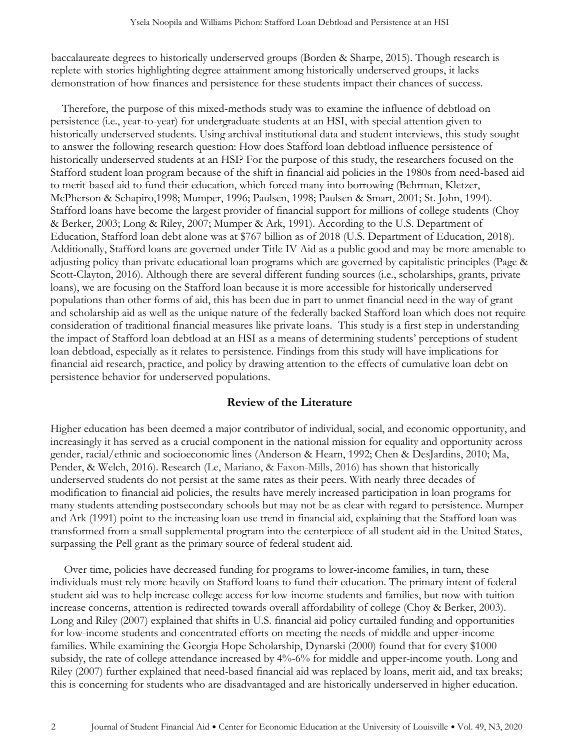baccalaureate degrees to historically underserved groups (Borden & Sharpe, 2015). Though research is replete with stories highlighting degree attainment among historically underserved groups, it lacks demonstration of how finances and persistence for these students impact their chances of success.

 Therefore, the purpose of this mixed-methods study was to examine the influence of debtload on persistence (i.e., year-to-year) for undergraduate students at an HSI, with special attention given to historically underserved students. Using archival institutional data and student interviews, this study sought to answer the following research question: How does Stafford loan debtload influence persistence of historically underserved students at an HSI? For the purpose of this study, the researchers focused on the Stafford student loan program because of the shift in financial aid policies in the 1980s from need-based aid to merit-based aid to fund their education, which forced many into borrowing (Behrman, Kletzer, McPherson & Schapiro,1998; Mumper, 1996; Paulsen, 1998; Paulsen & Smart, 2001; St. John, 1994). Stafford loans have become the largest provider of financial support for millions of college students (Choy & Berker, 2003; Long & Riley, 2007; Mumper & Ark, 1991). According to the U.S. Department of Education, Stafford loan debt alone was at \$767 billion as of 2018 (U.S. Department of Education, 2018). Additionally, Stafford loans are governed under Title IV Aid as a public good and may be more amenable to adjusting policy than private educational loan programs which are governed by capitalistic principles (Page & Scott-Clayton, 2016). Although there are several different funding sources (i.e., scholarships, grants, private loans), we are focusing on the Stafford loan because it is more accessible for historically underserved populations than other forms of aid, this has been due in part to unmet financial need in the way of grant and scholarship aid as well as the unique nature of the federally backed Stafford loan which does not require consideration of traditional financial measures like private loans. This study is a first step in understanding the impact of Stafford loan debtload at an HSI as a means of determining students' perceptions of student loan debtload, especially as it relates to persistence. Findings from this study will have implications for financial aid research, practice, and policy by drawing attention to the effects of cumulative loan debt on persistence behavior for underserved populations.

## **Review of the Literature**

Higher education has been deemed a major contributor of individual, social, and economic opportunity, and increasingly it has served as a crucial component in the national mission for equality and opportunity across gender, racial/ethnic and socioeconomic lines (Anderson & Hearn, 1992; Chen & DesJardins, 2010; Ma, Pender, & Welch, 2016). Research (Le, Mariano, & Faxon-Mills, 2016) has shown that historically underserved students do not persist at the same rates as their peers. With nearly three decades of modification to financial aid policies, the results have merely increased participation in loan programs for many students attending postsecondary schools but may not be as clear with regard to persistence. Mumper and Ark (1991) point to the increasing loan use trend in financial aid, explaining that the Stafford loan was transformed from a small supplemental program into the centerpiece of all student aid in the United States, surpassing the Pell grant as the primary source of federal student aid.

Over time, policies have decreased funding for programs to lower-income families, in turn, these individuals must rely more heavily on Stafford loans to fund their education. The primary intent of federal student aid was to help increase college access for low-income students and families, but now with tuition increase concerns, attention is redirected towards overall affordability of college (Choy & Berker, 2003). Long and Riley (2007) explained that shifts in U.S. financial aid policy curtailed funding and opportunities for low-income students and concentrated efforts on meeting the needs of middle and upper-income families. While examining the Georgia Hope Scholarship, Dynarski (2000) found that for every \$1000 subsidy, the rate of college attendance increased by 4%-6% for middle and upper-income youth. Long and Riley (2007) further explained that need-based financial aid was replaced by loans, merit aid, and tax breaks; this is concerning for students who are disadvantaged and are historically underserved in higher education.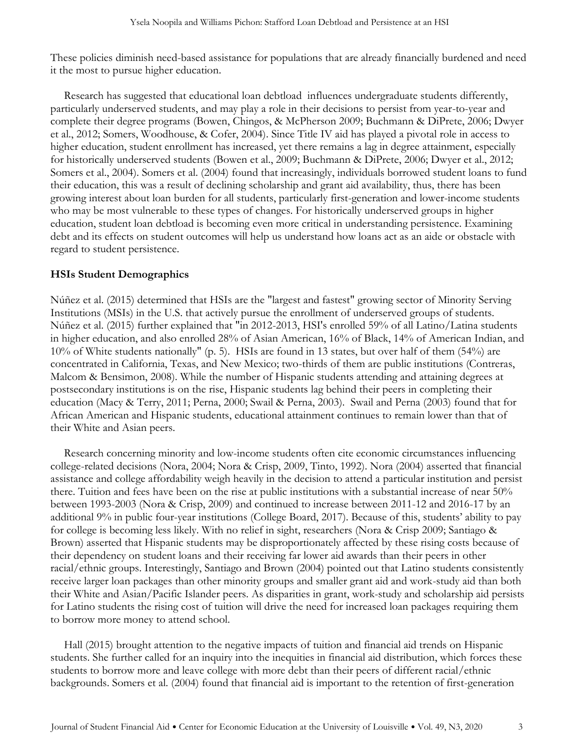These policies diminish need-based assistance for populations that are already financially burdened and need it the most to pursue higher education.

Research has suggested that educational loan debtload influences undergraduate students differently, particularly underserved students, and may play a role in their decisions to persist from year-to-year and complete their degree programs (Bowen, Chingos, & McPherson 2009; Buchmann & DiPrete, 2006; Dwyer et al., 2012; Somers, Woodhouse, & Cofer, 2004). Since Title IV aid has played a pivotal role in access to higher education, student enrollment has increased, yet there remains a lag in degree attainment, especially for historically underserved students (Bowen et al., 2009; Buchmann & DiPrete, 2006; Dwyer et al., 2012; Somers et al., 2004). Somers et al. (2004) found that increasingly, individuals borrowed student loans to fund their education, this was a result of declining scholarship and grant aid availability, thus, there has been growing interest about loan burden for all students, particularly first-generation and lower-income students who may be most vulnerable to these types of changes. For historically underserved groups in higher education, student loan debtload is becoming even more critical in understanding persistence. Examining debt and its effects on student outcomes will help us understand how loans act as an aide or obstacle with regard to student persistence.

## **HSIs Student Demographics**

Núñez et al. (2015) determined that HSIs are the "largest and fastest" growing sector of Minority Serving Institutions (MSIs) in the U.S. that actively pursue the enrollment of underserved groups of students. Núñez et al. (2015) further explained that "in 2012-2013, HSI's enrolled 59% of all Latino/Latina students in higher education, and also enrolled 28% of Asian American, 16% of Black, 14% of American Indian, and 10% of White students nationally" (p. 5). HSIs are found in 13 states, but over half of them (54%) are concentrated in California, Texas, and New Mexico; two-thirds of them are public institutions (Contreras, Malcom & Bensimon, 2008). While the number of Hispanic students attending and attaining degrees at postsecondary institutions is on the rise, Hispanic students lag behind their peers in completing their education (Macy & Terry, 2011; Perna, 2000; Swail & Perna, 2003). Swail and Perna (2003) found that for African American and Hispanic students, educational attainment continues to remain lower than that of their White and Asian peers.

Research concerning minority and low-income students often cite economic circumstances influencing college-related decisions (Nora, 2004; Nora & Crisp, 2009, Tinto, 1992). Nora (2004) asserted that financial assistance and college affordability weigh heavily in the decision to attend a particular institution and persist there. Tuition and fees have been on the rise at public institutions with a substantial increase of near 50% between 1993-2003 (Nora & Crisp, 2009) and continued to increase between 2011-12 and 2016-17 by an additional 9% in public four-year institutions (College Board, 2017). Because of this, students' ability to pay for college is becoming less likely. With no relief in sight, researchers (Nora & Crisp 2009; Santiago & Brown) asserted that Hispanic students may be disproportionately affected by these rising costs because of their dependency on student loans and their receiving far lower aid awards than their peers in other racial/ethnic groups. Interestingly, Santiago and Brown (2004) pointed out that Latino students consistently receive larger loan packages than other minority groups and smaller grant aid and work-study aid than both their White and Asian/Pacific Islander peers. As disparities in grant, work-study and scholarship aid persists for Latino students the rising cost of tuition will drive the need for increased loan packages requiring them to borrow more money to attend school.

Hall (2015) brought attention to the negative impacts of tuition and financial aid trends on Hispanic students. She further called for an inquiry into the inequities in financial aid distribution, which forces these students to borrow more and leave college with more debt than their peers of different racial/ethnic backgrounds. Somers et al. (2004) found that financial aid is important to the retention of first-generation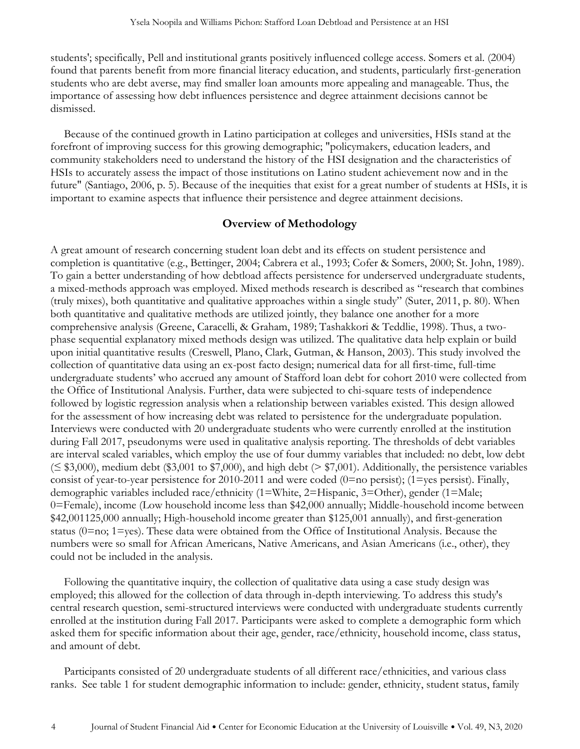students'; specifically, Pell and institutional grants positively influenced college access. Somers et al. (2004) found that parents benefit from more financial literacy education, and students, particularly first-generation students who are debt averse, may find smaller loan amounts more appealing and manageable. Thus, the importance of assessing how debt influences persistence and degree attainment decisions cannot be dismissed.

Because of the continued growth in Latino participation at colleges and universities, HSIs stand at the forefront of improving success for this growing demographic; "policymakers, education leaders, and community stakeholders need to understand the history of the HSI designation and the characteristics of HSIs to accurately assess the impact of those institutions on Latino student achievement now and in the future" (Santiago, 2006, p. 5). Because of the inequities that exist for a great number of students at HSIs, it is important to examine aspects that influence their persistence and degree attainment decisions.

## **Overview of Methodology**

A great amount of research concerning student loan debt and its effects on student persistence and completion is quantitative (e.g., Bettinger, 2004; Cabrera et al., 1993; Cofer & Somers, 2000; St. John, 1989). To gain a better understanding of how debtload affects persistence for underserved undergraduate students, a mixed-methods approach was employed. Mixed methods research is described as "research that combines (truly mixes), both quantitative and qualitative approaches within a single study" (Suter, 2011, p. 80). When both quantitative and qualitative methods are utilized jointly, they balance one another for a more comprehensive analysis (Greene, Caracelli, & Graham, 1989; Tashakkori & Teddlie, 1998). Thus, a twophase sequential explanatory mixed methods design was utilized. The qualitative data help explain or build upon initial quantitative results (Creswell, Plano, Clark, Gutman, & Hanson, 2003). This study involved the collection of quantitative data using an ex-post facto design; numerical data for all first-time, full-time undergraduate students' who accrued any amount of Stafford loan debt for cohort 2010 were collected from the Office of Institutional Analysis. Further, data were subjected to chi-square tests of independence followed by logistic regression analysis when a relationship between variables existed. This design allowed for the assessment of how increasing debt was related to persistence for the undergraduate population. Interviews were conducted with 20 undergraduate students who were currently enrolled at the institution during Fall 2017, pseudonyms were used in qualitative analysis reporting. The thresholds of debt variables are interval scaled variables, which employ the use of four dummy variables that included: no debt, low debt (≤ \$3,000), medium debt (\$3,001 to \$7,000), and high debt (> \$7,001). Additionally, the persistence variables consist of year-to-year persistence for 2010-2011 and were coded  $(0=$ no persist); (1=yes persist). Finally, demographic variables included race/ethnicity (1=White, 2=Hispanic, 3=Other), gender (1=Male; 0=Female), income (Low household income less than \$42,000 annually; Middle-household income between \$42,001125,000 annually; High-household income greater than \$125,001 annually), and first-generation status (0=no; 1=yes). These data were obtained from the Office of Institutional Analysis. Because the numbers were so small for African Americans, Native Americans, and Asian Americans (i.e., other), they could not be included in the analysis.

Following the quantitative inquiry, the collection of qualitative data using a case study design was employed; this allowed for the collection of data through in-depth interviewing. To address this study's central research question, semi-structured interviews were conducted with undergraduate students currently enrolled at the institution during Fall 2017. Participants were asked to complete a demographic form which asked them for specific information about their age, gender, race/ethnicity, household income, class status, and amount of debt.

Participants consisted of 20 undergraduate students of all different race/ethnicities, and various class ranks. See table 1 for student demographic information to include: gender, ethnicity, student status, family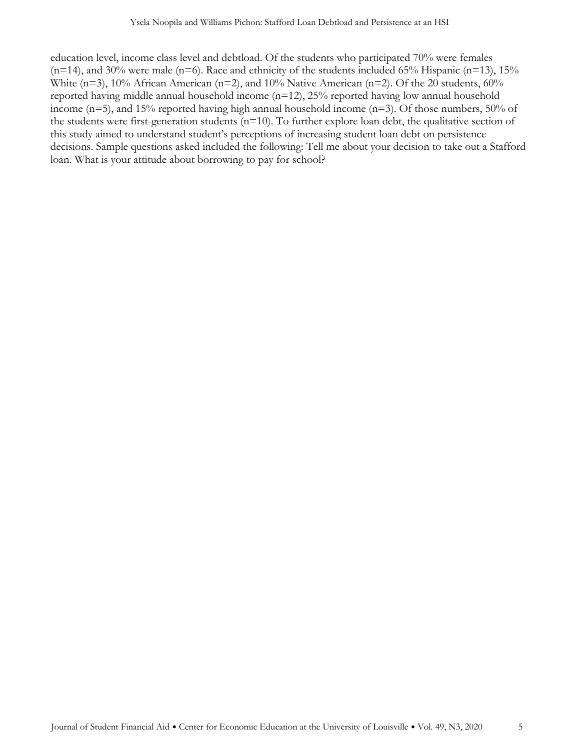education level, income class level and debtload. Of the students who participated 70% were females  $(n=14)$ , and 30% were male (n=6). Race and ethnicity of the students included 65% Hispanic (n=13), 15% White ( $n=3$ ), 10% African American ( $n=2$ ), and 10% Native American ( $n=2$ ). Of the 20 students, 60% reported having middle annual household income (n=12), 25% reported having low annual household income (n=5), and 15% reported having high annual household income (n=3). Of those numbers, 50% of the students were first-generation students (n=10). To further explore loan debt, the qualitative section of this study aimed to understand student's perceptions of increasing student loan debt on persistence decisions. Sample questions asked included the following: Tell me about your decision to take out a Stafford loan. What is your attitude about borrowing to pay for school?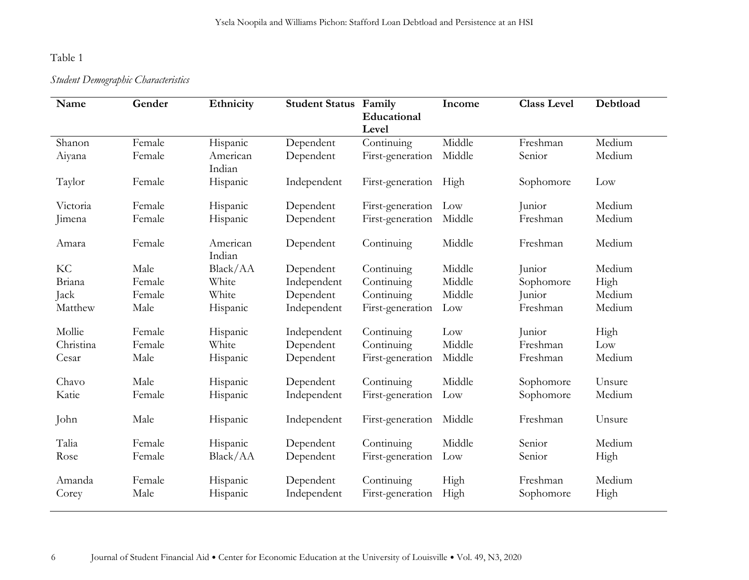## Table 1

## *Student Demographic Characteristics*

| Name      | Gender | Ethnicity          | <b>Student Status Family</b> | Educational<br>Level  | Income | <b>Class Level</b> | Debtload |
|-----------|--------|--------------------|------------------------------|-----------------------|--------|--------------------|----------|
| Shanon    | Female | Hispanic           | Dependent                    | Continuing            | Middle | Freshman           | Medium   |
| Aiyana    | Female | American<br>Indian | Dependent                    | First-generation      | Middle | Senior             | Medium   |
| Taylor    | Female | Hispanic           | Independent                  | First-generation High |        | Sophomore          | Low      |
| Victoria  | Female | Hispanic           | Dependent                    | First-generation      | Low    | Junior             | Medium   |
| Jimena    | Female | Hispanic           | Dependent                    | First-generation      | Middle | Freshman           | Medium   |
| Amara     | Female | American<br>Indian | Dependent                    | Continuing            | Middle | Freshman           | Medium   |
| KC        | Male   | Black/AA           | Dependent                    | Continuing            | Middle | Junior             | Medium   |
| Briana    | Female | White              | Independent                  | Continuing            | Middle | Sophomore          | High     |
| Jack      | Female | White              | Dependent                    | Continuing            | Middle | Junior             | Medium   |
| Matthew   | Male   | Hispanic           | Independent                  | First-generation      | Low    | Freshman           | Medium   |
| Mollie    | Female | Hispanic           | Independent                  | Continuing            | Low    | Junior             | High     |
| Christina | Female | White              | Dependent                    | Continuing            | Middle | Freshman           | Low      |
| Cesar     | Male   | Hispanic           | Dependent                    | First-generation      | Middle | Freshman           | Medium   |
| Chavo     | Male   | Hispanic           | Dependent                    | Continuing            | Middle | Sophomore          | Unsure   |
| Katie     | Female | Hispanic           | Independent                  | First-generation      | Low    | Sophomore          | Medium   |
| John      | Male   | Hispanic           | Independent                  | First-generation      | Middle | Freshman           | Unsure   |
| Talia     | Female | Hispanic           | Dependent                    | Continuing            | Middle | Senior             | Medium   |
| Rose      | Female | Black/AA           | Dependent                    | First-generation      | Low    | Senior             | High     |
| Amanda    | Female | Hispanic           | Dependent                    | Continuing            | High   | Freshman           | Medium   |
| Corey     | Male   | Hispanic           | Independent                  | First-generation      | High   | Sophomore          | High     |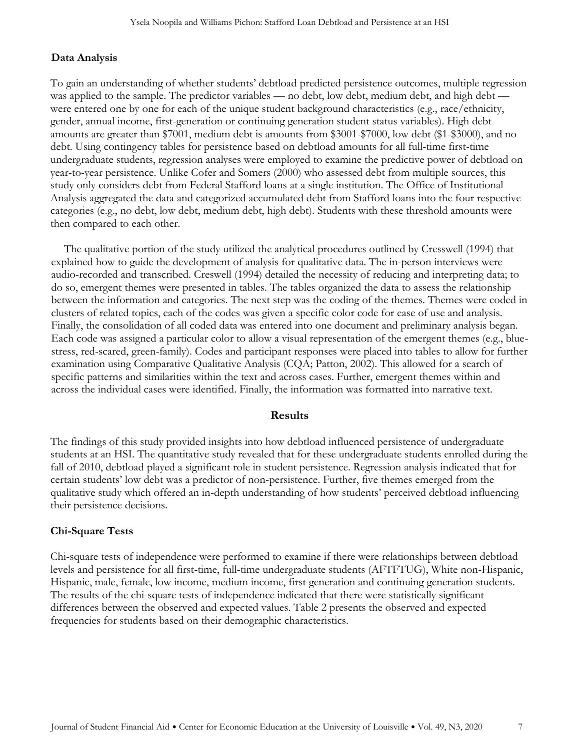## **Data Analysis**

To gain an understanding of whether students' debtload predicted persistence outcomes, multiple regression was applied to the sample. The predictor variables — no debt, low debt, medium debt, and high debt were entered one by one for each of the unique student background characteristics (e.g., race/ethnicity, gender, annual income, first-generation or continuing generation student status variables). High debt amounts are greater than \$7001, medium debt is amounts from \$3001-\$7000, low debt (\$1-\$3000), and no debt. Using contingency tables for persistence based on debtload amounts for all full-time first-time undergraduate students, regression analyses were employed to examine the predictive power of debtload on year-to-year persistence. Unlike Cofer and Somers (2000) who assessed debt from multiple sources, this study only considers debt from Federal Stafford loans at a single institution. The Office of Institutional Analysis aggregated the data and categorized accumulated debt from Stafford loans into the four respective categories (e.g., no debt, low debt, medium debt, high debt). Students with these threshold amounts were then compared to each other.

The qualitative portion of the study utilized the analytical procedures outlined by Cresswell (1994) that explained how to guide the development of analysis for qualitative data. The in-person interviews were audio-recorded and transcribed. Creswell (1994) detailed the necessity of reducing and interpreting data; to do so, emergent themes were presented in tables. The tables organized the data to assess the relationship between the information and categories. The next step was the coding of the themes. Themes were coded in clusters of related topics, each of the codes was given a specific color code for ease of use and analysis. Finally, the consolidation of all coded data was entered into one document and preliminary analysis began. Each code was assigned a particular color to allow a visual representation of the emergent themes (e.g., bluestress, red-scared, green-family). Codes and participant responses were placed into tables to allow for further examination using Comparative Qualitative Analysis (CQA; Patton, 2002). This allowed for a search of specific patterns and similarities within the text and across cases. Further, emergent themes within and across the individual cases were identified. Finally, the information was formatted into narrative text.

#### **Results**

The findings of this study provided insights into how debtload influenced persistence of undergraduate students at an HSI. The quantitative study revealed that for these undergraduate students enrolled during the fall of 2010, debtload played a significant role in student persistence. Regression analysis indicated that for certain students' low debt was a predictor of non-persistence. Further, five themes emerged from the qualitative study which offered an in-depth understanding of how students' perceived debtload influencing their persistence decisions.

## **Chi-Square Tests**

Chi-square tests of independence were performed to examine if there were relationships between debtload levels and persistence for all first-time, full-time undergraduate students (AFTFTUG), White non-Hispanic, Hispanic, male, female, low income, medium income, first generation and continuing generation students. The results of the chi-square tests of independence indicated that there were statistically significant differences between the observed and expected values. Table 2 presents the observed and expected frequencies for students based on their demographic characteristics.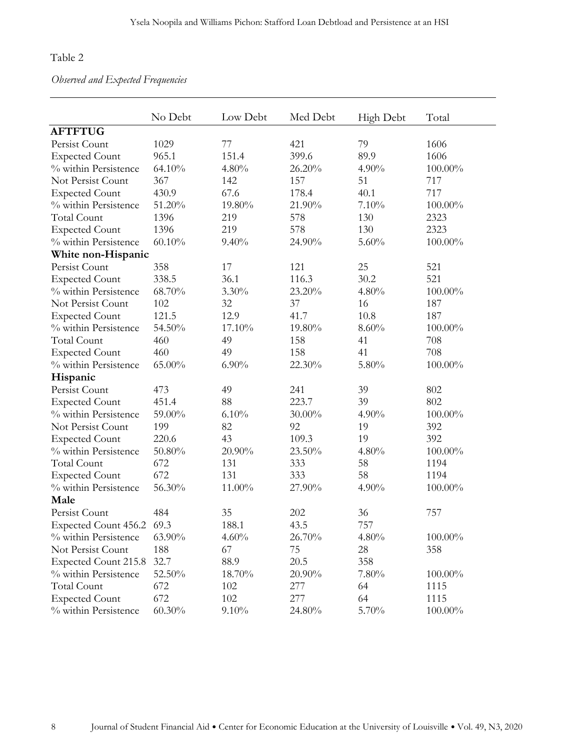## Table 2

*Observed and Expected Frequencies* 

|                             | No Debt   | Low Debt | Med Debt  | High Debt | Total      |
|-----------------------------|-----------|----------|-----------|-----------|------------|
| <b>AFTFTUG</b>              |           |          |           |           |            |
| Persist Count               | 1029      | 77       | 421       | 79        | 1606       |
| <b>Expected Count</b>       | 965.1     | 151.4    | 399.6     | 89.9      | 1606       |
| % within Persistence        | 64.10%    | $4.80\%$ | 26.20%    | 4.90%     | 100.00%    |
| Not Persist Count           | 367       | 142      | 157       | 51        | 717        |
| <b>Expected Count</b>       | 430.9     | 67.6     | 178.4     | 40.1      | 717        |
| % within Persistence        | 51.20%    | 19.80%   | 21.90%    | 7.10%     | 100.00%    |
| <b>Total Count</b>          | 1396      | 219      | 578       | 130       | 2323       |
| <b>Expected Count</b>       | 1396      | 219      | 578       | 130       | 2323       |
| % within Persistence        | 60.10%    | 9.40%    | 24.90%    | 5.60%     | 100.00%    |
| White non-Hispanic          |           |          |           |           |            |
| Persist Count               | 358       | 17       | 121       | 25        | 521        |
| <b>Expected Count</b>       | 338.5     | 36.1     | 116.3     | 30.2      | 521        |
| % within Persistence        | 68.70%    | $3.30\%$ | 23.20%    | 4.80%     | 100.00%    |
| Not Persist Count           | 102       | 32       | 37        | 16        | 187        |
| <b>Expected Count</b>       | 121.5     | 12.9     | 41.7      | 10.8      | 187        |
| % within Persistence        | 54.50%    | 17.10%   | 19.80%    | 8.60%     | 100.00%    |
| <b>Total Count</b>          | 460       | 49       | 158       | 41        | 708        |
| <b>Expected Count</b>       | 460       | 49       | 158       | 41        | 708        |
| % within Persistence        | 65.00%    | $6.90\%$ | 22.30%    | 5.80%     | 100.00%    |
| Hispanic                    |           |          |           |           |            |
| Persist Count               | 473       | 49       | 241       | 39        | 802        |
| <b>Expected Count</b>       | 451.4     | 88       | 223.7     | 39        | 802        |
| % within Persistence        | 59.00%    | 6.10%    | $30.00\%$ | 4.90%     | 100.00%    |
| Not Persist Count           | 199       | 82       | 92        | 19        | 392        |
| <b>Expected Count</b>       | 220.6     | 43       | 109.3     | 19        | 392        |
| % within Persistence        | 50.80%    | 20.90%   | 23.50%    | 4.80%     | 100.00%    |
| <b>Total Count</b>          | 672       | 131      | 333       | 58        | 1194       |
| <b>Expected Count</b>       | 672       | 131      | 333       | 58        | 1194       |
| % within Persistence        | 56.30%    | 11.00%   | 27.90%    | 4.90%     | 100.00%    |
| Male                        |           |          |           |           |            |
| Persist Count               | 484       | 35       | 202       | 36        | 757        |
| Expected Count 456.2 69.3   |           | 188.1    | 43.5      | 757       |            |
| % within Persistence        | $63.90\%$ | $4.60\%$ | 26.70%    | 4.80%     | 100.00%    |
| Not Persist Count           | 188       | 67       | 75        | 28        | 358        |
| <b>Expected Count 215.8</b> | 32.7      | 88.9     | 20.5      | 358       |            |
| % within Persistence        | 52.50%    | 18.70%   | $20.90\%$ | 7.80%     | 100.00%    |
| <b>Total Count</b>          | 672       | 102      | 277       | 64        | 1115       |
| <b>Expected Count</b>       | 672       | 102      | 277       | 64        | 1115       |
| % within Persistence        | $60.30\%$ | 9.10%    | 24.80%    | 5.70%     | $100.00\%$ |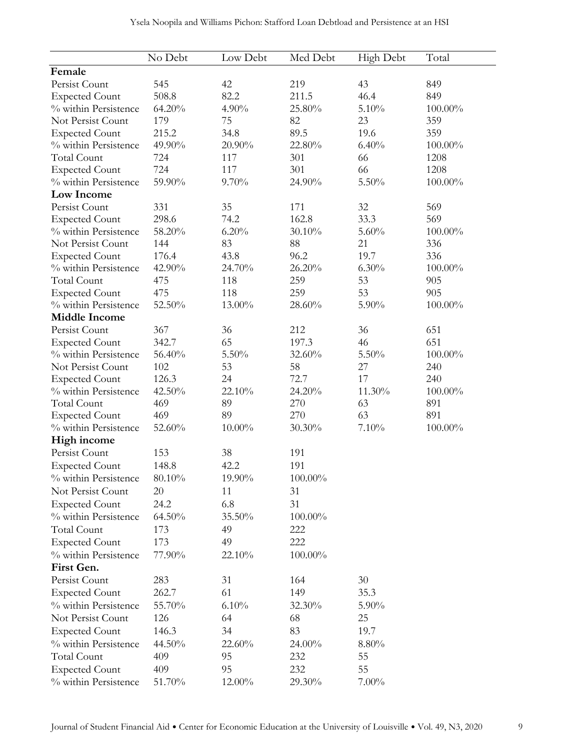|                       | No Debt   | Low Debt  | Med Debt | <b>High Debt</b> | Total   |
|-----------------------|-----------|-----------|----------|------------------|---------|
| Female                |           |           |          |                  |         |
| Persist Count         | 545       | 42        | 219      | 43               | 849     |
| <b>Expected Count</b> | 508.8     | 82.2      | 211.5    | 46.4             | 849     |
| % within Persistence  | 64.20%    | 4.90%     | 25.80%   | 5.10%            | 100.00% |
| Not Persist Count     | 179       | 75        | 82       | 23               | 359     |
| <b>Expected Count</b> | 215.2     | 34.8      | 89.5     | 19.6             | 359     |
| % within Persistence  | 49.90%    | 20.90%    | 22.80%   | 6.40%            | 100.00% |
| <b>Total Count</b>    | 724       | 117       | 301      | 66               | 1208    |
| <b>Expected Count</b> | 724       | 117       | 301      | 66               | 1208    |
| % within Persistence  | 59.90%    | 9.70%     | 24.90%   | $5.50\%$         | 100.00% |
| Low Income            |           |           |          |                  |         |
| Persist Count         | 331       | 35        | 171      | 32               | 569     |
| <b>Expected Count</b> | 298.6     | 74.2      | 162.8    | 33.3             | 569     |
| % within Persistence  | 58.20%    | 6.20%     | 30.10%   | 5.60%            | 100.00% |
| Not Persist Count     | 144       | 83        |          | 21               | 336     |
|                       | 176.4     | 43.8      | 88       | 19.7             |         |
| <b>Expected Count</b> |           |           | 96.2     |                  | 336     |
| % within Persistence  | 42.90%    | 24.70%    | 26.20%   | 6.30%            | 100.00% |
| <b>Total Count</b>    | 475       | 118       | 259      | 53               | 905     |
| <b>Expected Count</b> | 475       | 118       | 259      | 53               | 905     |
| % within Persistence  | 52.50%    | 13.00%    | 28.60%   | 5.90%            | 100.00% |
| <b>Middle Income</b>  |           |           |          |                  |         |
| Persist Count         | 367       | 36        | 212      | 36               | 651     |
| <b>Expected Count</b> | 342.7     | 65        | 197.3    | 46               | 651     |
| % within Persistence  | 56.40%    | 5.50%     | 32.60%   | 5.50%            | 100.00% |
| Not Persist Count     | 102       | 53        | 58       | 27               | 240     |
| <b>Expected Count</b> | 126.3     | 24        | 72.7     | $17\,$           | 240     |
| % within Persistence  | 42.50%    | 22.10%    | 24.20%   | 11.30%           | 100.00% |
| <b>Total Count</b>    | 469       | 89        | 270      | 63               | 891     |
| <b>Expected Count</b> | 469       | 89        | 270      | 63               | 891     |
| % within Persistence  | 52.60%    | $10.00\%$ | 30.30%   | 7.10%            | 100.00% |
| High income           |           |           |          |                  |         |
| Persist Count         | 153       | 38        | 191      |                  |         |
| <b>Expected Count</b> | 148.8     | 42.2      | 191      |                  |         |
| % within Persistence  | 80.10%    | 19.90%    | 100.00%  |                  |         |
| Not Persist Count     | 20        | 11        | 31       |                  |         |
| <b>Expected Count</b> | 24.2      | 6.8       | 31       |                  |         |
| % within Persistence  | $64.50\%$ | 35.50%    | 100.00%  |                  |         |
| <b>Total Count</b>    | 173       | 49        | 222      |                  |         |
| <b>Expected Count</b> | 173       | 49        | 222      |                  |         |
| % within Persistence  | 77.90%    | 22.10%    | 100.00%  |                  |         |
| First Gen.            |           |           |          |                  |         |
| Persist Count         | 283       | 31        | 164      | 30               |         |
| <b>Expected Count</b> | 262.7     | 61        | 149      | 35.3             |         |
| % within Persistence  | 55.70%    | 6.10%     | 32.30%   | 5.90%            |         |
|                       |           |           |          |                  |         |
| Not Persist Count     | 126       | 64        | 68       | 25               |         |
| <b>Expected Count</b> | 146.3     | 34        | 83       | 19.7             |         |
| % within Persistence  | 44.50%    | 22.60%    | 24.00%   | 8.80%            |         |
| <b>Total Count</b>    | 409       | 95        | 232      | 55               |         |
| <b>Expected Count</b> | 409       | 95        | 232      | 55               |         |
| % within Persistence  | 51.70%    | 12.00%    | 29.30%   | $7.00\%$         |         |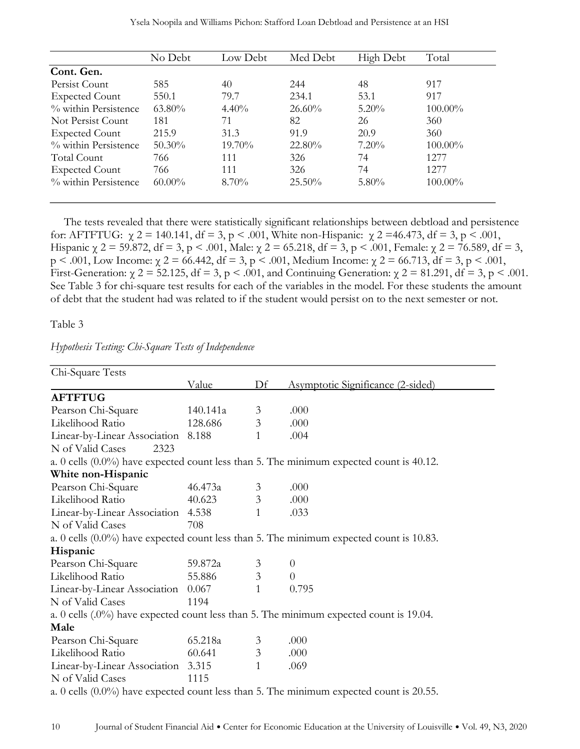|                         | No Debt   | Low Debt  | Med Debt  | High Debt | Total      |
|-------------------------|-----------|-----------|-----------|-----------|------------|
| Cont. Gen.              |           |           |           |           |            |
| Persist Count           | 585       | 40        | 244       | 48        | 917        |
| <b>Expected Count</b>   | 550.1     | 79.7      | 234.1     | 53.1      | 917        |
| $\%$ within Persistence | 63.80%    | 4.40%     | 26.60%    | $5.20\%$  | $100.00\%$ |
| Not Persist Count       | 181       | 71        | 82        | 26        | 360        |
| <b>Expected Count</b>   | 215.9     | 31.3      | 91.9      | 20.9      | 360        |
| % within Persistence    | $50.30\%$ | $19.70\%$ | $22.80\%$ | $7.20\%$  | $100.00\%$ |
| Total Count             | 766       | 111       | 326       | 74        | 1277       |
| <b>Expected Count</b>   | 766       | 111       | 326       | 74        | 1277       |
| $\%$ within Persistence | $60.00\%$ | $8.70\%$  | $25.50\%$ | $5.80\%$  | $100.00\%$ |

The tests revealed that there were statistically significant relationships between debtload and persistence for: AFTFTUG: χ 2 = 140.141, df = 3, p < .001, White non-Hispanic: χ 2 =46.473, df = 3, p < .001, Hispanic  $\chi$  2 = 59.872, df = 3, p < .001, Male:  $\chi$  2 = 65.218, df = 3, p < .001, Female:  $\chi$  2 = 76.589, df = 3, p < .001, Low Income:  $\chi$  2 = 66.442, df = 3, p < .001, Medium Income:  $\chi$  2 = 66.713, df = 3, p < .001, First-Generation:  $\chi$  2 = 52.125, df = 3, p < .001, and Continuing Generation:  $\chi$  2 = 81.291, df = 3, p < .001. See Table 3 for chi-square test results for each of the variables in the model. For these students the amount of debt that the student had was related to if the student would persist on to the next semester or not.

Table 3

| Chi-Square Tests                   |          |                |                                                                                            |
|------------------------------------|----------|----------------|--------------------------------------------------------------------------------------------|
|                                    | Value    | Df             | Asymptotic Significance (2-sided)                                                          |
| <b>AFTFTUG</b>                     |          |                |                                                                                            |
| Pearson Chi-Square                 | 140.141a | 3              | .000                                                                                       |
| Likelihood Ratio                   | 128.686  | 3              | .000                                                                                       |
| Linear-by-Linear Association 8.188 |          | $\mathbf{1}$   | .004                                                                                       |
| N of Valid Cases<br>2323           |          |                |                                                                                            |
|                                    |          |                | a. 0 cells (0.0%) have expected count less than 5. The minimum expected count is 40.12.    |
| White non-Hispanic                 |          |                |                                                                                            |
| Pearson Chi-Square                 | 46.473a  | 3              | .000                                                                                       |
| Likelihood Ratio                   | 40.623   | 3              | .000                                                                                       |
| Linear-by-Linear Association 4.538 |          | 1              | .033                                                                                       |
| N of Valid Cases                   | 708      |                |                                                                                            |
|                                    |          |                | a. 0 cells (0.0%) have expected count less than 5. The minimum expected count is 10.83.    |
| Hispanic                           |          |                |                                                                                            |
| Pearson Chi-Square                 | 59.872a  | 3              | $\theta$                                                                                   |
| Likelihood Ratio                   | 55.886   | $\mathfrak{Z}$ | $\Omega$                                                                                   |
| Linear-by-Linear Association       | 0.067    | $\mathbf{1}$   | 0.795                                                                                      |
| N of Valid Cases                   | 1194     |                |                                                                                            |
|                                    |          |                | a. 0 cells (.0%) have expected count less than 5. The minimum expected count is 19.04.     |
| Male                               |          |                |                                                                                            |
| Pearson Chi-Square                 | 65.218a  | 3              | .000                                                                                       |
| Likelihood Ratio                   | 60.641   | 3              | .000                                                                                       |
| Linear-by-Linear Association 3.315 |          | 1              | .069                                                                                       |
| N of Valid Cases                   | 1115     |                |                                                                                            |
|                                    |          |                | a. 0 cells $(0.0\%)$ have expected count less than 5. The minimum expected count is 20.55. |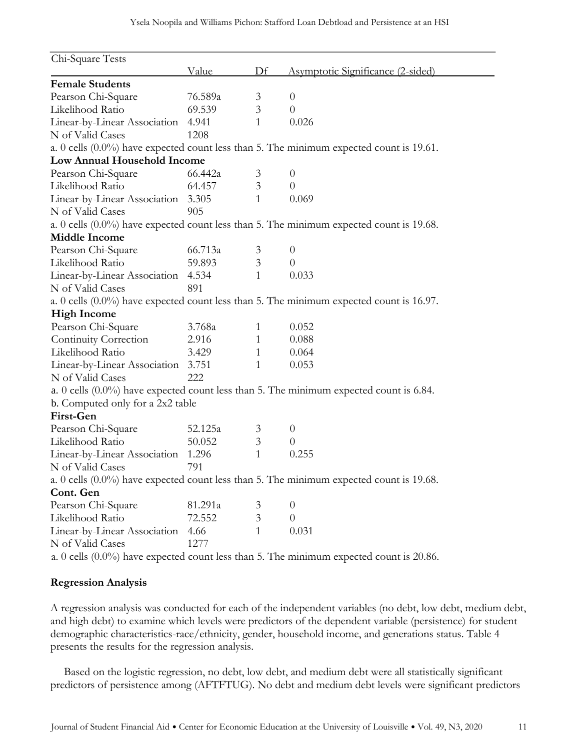| Chi-Square Tests                   |              |                |                                                                                            |
|------------------------------------|--------------|----------------|--------------------------------------------------------------------------------------------|
|                                    | <u>Value</u> | Df             | <u>Asymptotic Significance (2-sided)</u>                                                   |
| <b>Female Students</b>             |              |                |                                                                                            |
| Pearson Chi-Square                 | 76.589a      | 3              | $\overline{0}$                                                                             |
| Likelihood Ratio                   | 69.539       | 3              | $\overline{0}$                                                                             |
| Linear-by-Linear Association       | 4.941        | $\mathbf{1}$   | 0.026                                                                                      |
| N of Valid Cases                   | 1208         |                |                                                                                            |
|                                    |              |                | a. 0 cells (0.0%) have expected count less than 5. The minimum expected count is 19.61.    |
| Low Annual Household Income        |              |                |                                                                                            |
| Pearson Chi-Square                 | 66.442a      | 3              | $\theta$                                                                                   |
| Likelihood Ratio                   | 64.457       | 3              | $\theta$                                                                                   |
| Linear-by-Linear Association 3.305 |              | $\mathbf{1}$   | 0.069                                                                                      |
| N of Valid Cases                   | 905          |                |                                                                                            |
|                                    |              |                | a. 0 cells (0.0%) have expected count less than 5. The minimum expected count is 19.68.    |
| <b>Middle Income</b>               |              |                |                                                                                            |
| Pearson Chi-Square                 | 66.713a      | $\mathfrak{Z}$ | $\theta$                                                                                   |
| Likelihood Ratio                   | 59.893       | 3              | $\theta$                                                                                   |
| Linear-by-Linear Association 4.534 |              | $\mathbf{1}$   | 0.033                                                                                      |
| N of Valid Cases                   | 891          |                |                                                                                            |
|                                    |              |                | a. 0 cells $(0.0\%)$ have expected count less than 5. The minimum expected count is 16.97. |
| <b>High Income</b>                 |              |                |                                                                                            |
| Pearson Chi-Square                 | 3.768a       | 1              | 0.052                                                                                      |
| Continuity Correction              | 2.916        | $\mathbf{1}$   | 0.088                                                                                      |
| Likelihood Ratio                   | 3.429        | 1              | 0.064                                                                                      |
| Linear-by-Linear Association 3.751 |              | 1              | 0.053                                                                                      |
| N of Valid Cases                   | 222          |                |                                                                                            |
|                                    |              |                | a. 0 cells (0.0%) have expected count less than 5. The minimum expected count is 6.84.     |
| b. Computed only for a 2x2 table   |              |                |                                                                                            |
| First-Gen                          |              |                |                                                                                            |
| Pearson Chi-Square                 | 52.125a      | 3              | $\theta$                                                                                   |
| Likelihood Ratio                   | 50.052       | 3              | $\theta$                                                                                   |
| Linear-by-Linear Association 1.296 |              | $\mathbf{1}$   | 0.255                                                                                      |
| N of Valid Cases                   | 791          |                |                                                                                            |
|                                    |              |                | a. 0 cells (0.0%) have expected count less than 5. The minimum expected count is 19.68.    |
| Cont. Gen                          |              |                |                                                                                            |
| Pearson Chi-Square                 | 81.291a      | 3              | $\theta$                                                                                   |
| Likelihood Ratio                   | 72.552       | $\mathfrak{Z}$ | $\theta$                                                                                   |
| Linear-by-Linear Association       | 4.66         | $\mathbf{1}$   | 0.031                                                                                      |
| N of Valid Cases                   | 1277         |                |                                                                                            |
|                                    |              |                | a. 0 cells (0.0%) have expected count less than 5. The minimum expected count is 20.86.    |

## **Regression Analysis**

A regression analysis was conducted for each of the independent variables (no debt, low debt, medium debt, and high debt) to examine which levels were predictors of the dependent variable (persistence) for student demographic characteristics-race/ethnicity, gender, household income, and generations status. Table 4 presents the results for the regression analysis.

Based on the logistic regression, no debt, low debt, and medium debt were all statistically significant predictors of persistence among (AFTFTUG). No debt and medium debt levels were significant predictors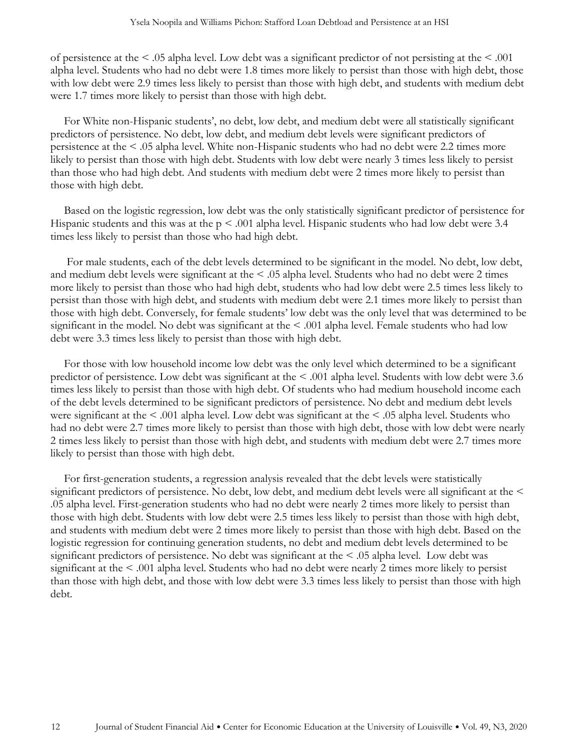of persistence at the < .05 alpha level. Low debt was a significant predictor of not persisting at the < .001 alpha level. Students who had no debt were 1.8 times more likely to persist than those with high debt, those with low debt were 2.9 times less likely to persist than those with high debt, and students with medium debt were 1.7 times more likely to persist than those with high debt.

For White non-Hispanic students', no debt, low debt, and medium debt were all statistically significant predictors of persistence. No debt, low debt, and medium debt levels were significant predictors of persistence at the < .05 alpha level. White non-Hispanic students who had no debt were 2.2 times more likely to persist than those with high debt. Students with low debt were nearly 3 times less likely to persist than those who had high debt. And students with medium debt were 2 times more likely to persist than those with high debt.

Based on the logistic regression, low debt was the only statistically significant predictor of persistence for Hispanic students and this was at the  $p \le 0.001$  alpha level. Hispanic students who had low debt were 3.4 times less likely to persist than those who had high debt.

For male students, each of the debt levels determined to be significant in the model. No debt, low debt, and medium debt levels were significant at the < .05 alpha level. Students who had no debt were 2 times more likely to persist than those who had high debt, students who had low debt were 2.5 times less likely to persist than those with high debt, and students with medium debt were 2.1 times more likely to persist than those with high debt. Conversely, for female students' low debt was the only level that was determined to be significant in the model. No debt was significant at the < .001 alpha level. Female students who had low debt were 3.3 times less likely to persist than those with high debt.

For those with low household income low debt was the only level which determined to be a significant predictor of persistence. Low debt was significant at the < .001 alpha level. Students with low debt were 3.6 times less likely to persist than those with high debt. Of students who had medium household income each of the debt levels determined to be significant predictors of persistence. No debt and medium debt levels were significant at the < .001 alpha level. Low debt was significant at the < .05 alpha level. Students who had no debt were 2.7 times more likely to persist than those with high debt, those with low debt were nearly 2 times less likely to persist than those with high debt, and students with medium debt were 2.7 times more likely to persist than those with high debt.

For first-generation students, a regression analysis revealed that the debt levels were statistically significant predictors of persistence. No debt, low debt, and medium debt levels were all significant at the < .05 alpha level. First-generation students who had no debt were nearly 2 times more likely to persist than those with high debt. Students with low debt were 2.5 times less likely to persist than those with high debt, and students with medium debt were 2 times more likely to persist than those with high debt. Based on the logistic regression for continuing generation students, no debt and medium debt levels determined to be significant predictors of persistence. No debt was significant at the  $\leq$  .05 alpha level. Low debt was significant at the < .001 alpha level. Students who had no debt were nearly 2 times more likely to persist than those with high debt, and those with low debt were 3.3 times less likely to persist than those with high debt.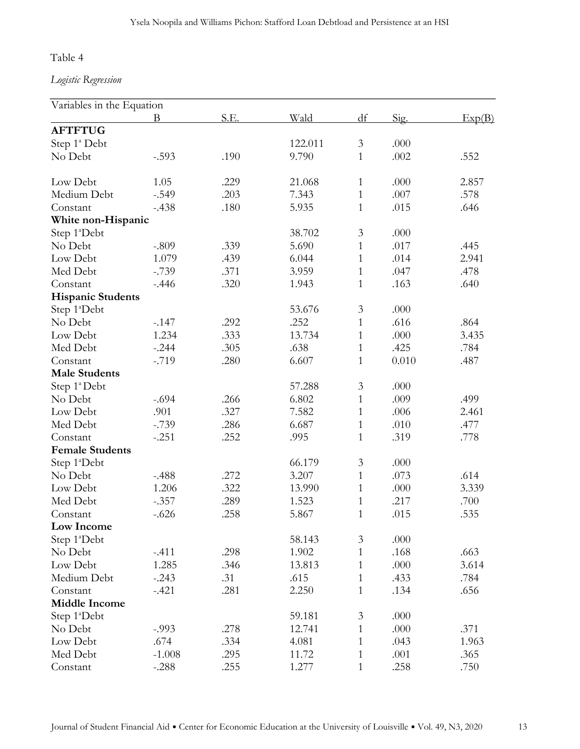## Table 4

*Logistic Regression* 

| Variables in the Equation |          |      |         |                |       |        |
|---------------------------|----------|------|---------|----------------|-------|--------|
|                           | Β        | S.E. | Wald    | df             | Sig.  | Exp(B) |
| <b>AFTFTUG</b>            |          |      |         |                |       |        |
| Step 1 <sup>ª</sup> Debt  |          |      | 122.011 | $\mathfrak{Z}$ | .000  |        |
| No Debt                   | $-.593$  | .190 | 9.790   | 1              | .002  | .552   |
|                           |          |      |         |                |       |        |
| Low Debt                  | 1.05     | .229 | 21.068  | $\mathbf{1}$   | .000  | 2.857  |
| Medium Debt               | $-.549$  | .203 | 7.343   | $\mathbf{1}$   | .007  | .578   |
| Constant                  | $-.438$  | .180 | 5.935   | $\mathbf{1}$   | .015  | .646   |
| White non-Hispanic        |          |      |         |                |       |        |
| Step 1ªDebt               |          |      | 38.702  | $\mathfrak{Z}$ | .000  |        |
| No Debt                   | $-.809$  | .339 | 5.690   | $\mathbf{1}$   | .017  | .445   |
| Low Debt                  | 1.079    | .439 | 6.044   | $\mathbf{1}$   | .014  | 2.941  |
| Med Debt                  | $-.739$  | .371 | 3.959   | $\mathbf{1}$   | .047  | .478   |
| Constant                  | $-.446$  | .320 | 1.943   | $\mathbf{1}$   | .163  | .640   |
| <b>Hispanic Students</b>  |          |      |         |                |       |        |
| Step 1ªDebt               |          |      | 53.676  | $\mathfrak{Z}$ | .000  |        |
| No Debt                   | $-.147$  | .292 | .252    | $\mathbf{1}$   | .616  | .864   |
| Low Debt                  | 1.234    | .333 | 13.734  | $\mathbf{1}$   | .000  | 3.435  |
| Med Debt                  | $-.244$  | .305 | .638    | $\mathbf{1}$   | .425  | .784   |
| Constant                  | $-.719$  | .280 | 6.607   | $\mathbf{1}$   | 0.010 | .487   |
| <b>Male Students</b>      |          |      |         |                |       |        |
| Step 1ª Debt              |          |      | 57.288  | 3              | .000  |        |
| No Debt                   | $-.694$  | .266 | 6.802   | $\mathbf{1}$   | .009  | .499   |
| Low Debt                  | .901     | .327 | 7.582   | $\mathbf{1}$   | .006  | 2.461  |
| Med Debt                  | $-.739$  | .286 | 6.687   | $\mathbf{1}$   | .010  | .477   |
| Constant                  | $-.251$  | .252 | .995    | $\mathbf{1}$   | .319  | .778   |
| <b>Female Students</b>    |          |      |         |                |       |        |
| Step 1ªDebt               |          |      | 66.179  | $\mathfrak{Z}$ | .000  |        |
| No Debt                   | $-.488$  | .272 | 3.207   | $\mathbf{1}$   | .073  | .614   |
| Low Debt                  | 1.206    | .322 | 13.990  | $\mathbf{1}$   | .000  | 3.339  |
| Med Debt                  | $-.357$  | .289 | 1.523   | $\mathbf{1}$   | .217  | .700   |
| Constant                  | $-.626$  | .258 | 5.867   | $\mathbf{1}$   | .015  | .535   |
| Low Income                |          |      |         |                |       |        |
| Step 1ªDebt               |          |      | 58.143  | $\mathfrak{Z}$ | .000  |        |
| No Debt                   | $-.411$  | .298 | 1.902   | $\mathbf{1}$   | .168  | .663   |
| Low Debt                  | 1.285    | .346 | 13.813  | $\mathbf{1}$   | .000  | 3.614  |
| Medium Debt               | $-.243$  | .31  | .615    | $\mathbf{1}$   | .433  | .784   |
| Constant                  | $-.421$  | .281 | 2.250   | $\mathbf{1}$   | .134  | .656   |
| <b>Middle Income</b>      |          |      |         |                |       |        |
| Step 1ªDebt               |          |      | 59.181  | 3              | .000  |        |
| No Debt                   | $-0.993$ | .278 | 12.741  | $\mathbf{1}$   | .000  | .371   |
| Low Debt                  | .674     | .334 | 4.081   | $\mathbf{1}$   | .043  | 1.963  |
| Med Debt                  | $-1.008$ | .295 | 11.72   | $\mathbf{1}$   | .001  | .365   |
| Constant                  | $-.288$  | .255 | 1.277   | 1              | .258  | .750   |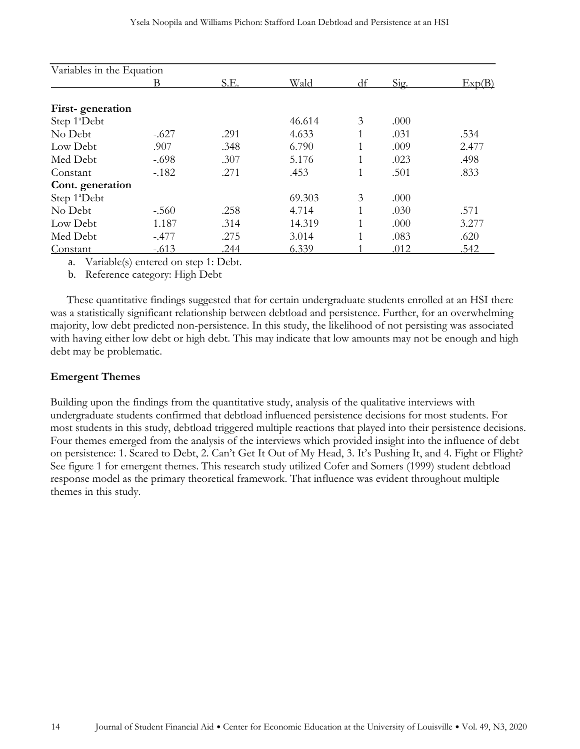| Variables in the Equation |         |      |        |    |      |        |
|---------------------------|---------|------|--------|----|------|--------|
|                           | В       | S.E. | Wald   | df | Sig. | Exp(B) |
| First-generation          |         |      |        |    |      |        |
| Step 1ªDebt               |         |      | 46.614 | 3  | .000 |        |
| No Debt                   | $-.627$ | .291 | 4.633  |    | .031 | .534   |
| Low Debt                  | .907    | .348 | 6.790  |    | .009 | 2.477  |
| Med Debt                  | $-.698$ | .307 | 5.176  |    | .023 | .498   |
| Constant                  | $-182$  | .271 | .453   |    | .501 | .833   |
| Cont. generation          |         |      |        |    |      |        |
| Step 1ªDebt               |         |      | 69.303 | 3  | .000 |        |
| No Debt                   | $-.560$ | .258 | 4.714  | 1  | .030 | .571   |
| Low Debt                  | 1.187   | .314 | 14.319 |    | .000 | 3.277  |
| Med Debt                  | $-.477$ | .275 | 3.014  | 1  | .083 | .620   |
| Constant                  | $-.613$ | .244 | 6.339  |    | .012 | .542   |

a. Variable(s) entered on step 1: Debt.

b. Reference category: High Debt

These quantitative findings suggested that for certain undergraduate students enrolled at an HSI there was a statistically significant relationship between debtload and persistence. Further, for an overwhelming majority, low debt predicted non-persistence. In this study, the likelihood of not persisting was associated with having either low debt or high debt. This may indicate that low amounts may not be enough and high debt may be problematic.

## **Emergent Themes**

Building upon the findings from the quantitative study, analysis of the qualitative interviews with undergraduate students confirmed that debtload influenced persistence decisions for most students. For most students in this study, debtload triggered multiple reactions that played into their persistence decisions. Four themes emerged from the analysis of the interviews which provided insight into the influence of debt on persistence: 1. Scared to Debt, 2. Can't Get It Out of My Head, 3. It's Pushing It, and 4. Fight or Flight? See figure 1 for emergent themes. This research study utilized Cofer and Somers (1999) student debtload response model as the primary theoretical framework. That influence was evident throughout multiple themes in this study.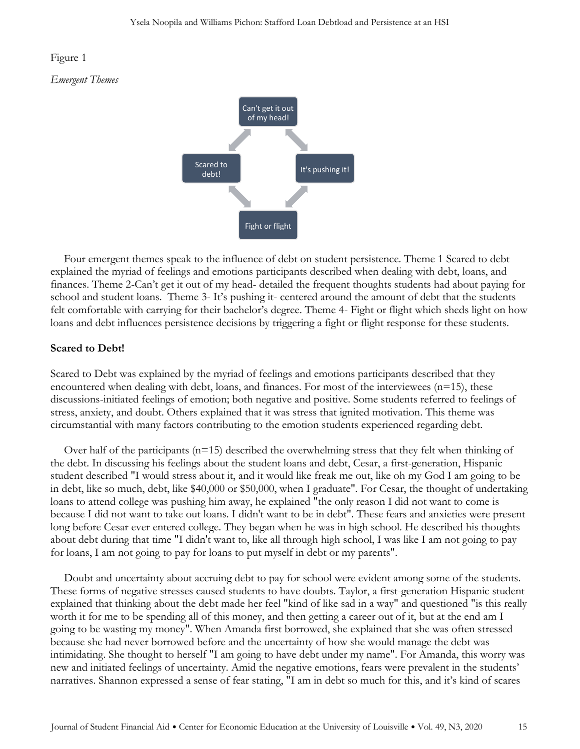#### Figure 1

#### *Emergent Themes*



Four emergent themes speak to the influence of debt on student persistence. Theme 1 Scared to debt explained the myriad of feelings and emotions participants described when dealing with debt, loans, and finances. Theme 2-Can't get it out of my head- detailed the frequent thoughts students had about paying for school and student loans. Theme 3- It's pushing it- centered around the amount of debt that the students felt comfortable with carrying for their bachelor's degree. Theme 4- Fight or flight which sheds light on how loans and debt influences persistence decisions by triggering a fight or flight response for these students.

## **Scared to Debt!**

Scared to Debt was explained by the myriad of feelings and emotions participants described that they encountered when dealing with debt, loans, and finances. For most of the interviewees  $(n=15)$ , these discussions-initiated feelings of emotion; both negative and positive. Some students referred to feelings of stress, anxiety, and doubt. Others explained that it was stress that ignited motivation. This theme was circumstantial with many factors contributing to the emotion students experienced regarding debt.

Over half of the participants (n=15) described the overwhelming stress that they felt when thinking of the debt. In discussing his feelings about the student loans and debt, Cesar, a first-generation, Hispanic student described "I would stress about it, and it would like freak me out, like oh my God I am going to be in debt, like so much, debt, like \$40,000 or \$50,000, when I graduate". For Cesar, the thought of undertaking loans to attend college was pushing him away, he explained "the only reason I did not want to come is because I did not want to take out loans. I didn't want to be in debt". These fears and anxieties were present long before Cesar ever entered college. They began when he was in high school. He described his thoughts about debt during that time "I didn't want to, like all through high school, I was like I am not going to pay for loans, I am not going to pay for loans to put myself in debt or my parents".

Doubt and uncertainty about accruing debt to pay for school were evident among some of the students. These forms of negative stresses caused students to have doubts. Taylor, a first-generation Hispanic student explained that thinking about the debt made her feel "kind of like sad in a way" and questioned "is this really worth it for me to be spending all of this money, and then getting a career out of it, but at the end am I going to be wasting my money". When Amanda first borrowed, she explained that she was often stressed because she had never borrowed before and the uncertainty of how she would manage the debt was intimidating. She thought to herself "I am going to have debt under my name". For Amanda, this worry was new and initiated feelings of uncertainty. Amid the negative emotions, fears were prevalent in the students' narratives. Shannon expressed a sense of fear stating, "I am in debt so much for this, and it's kind of scares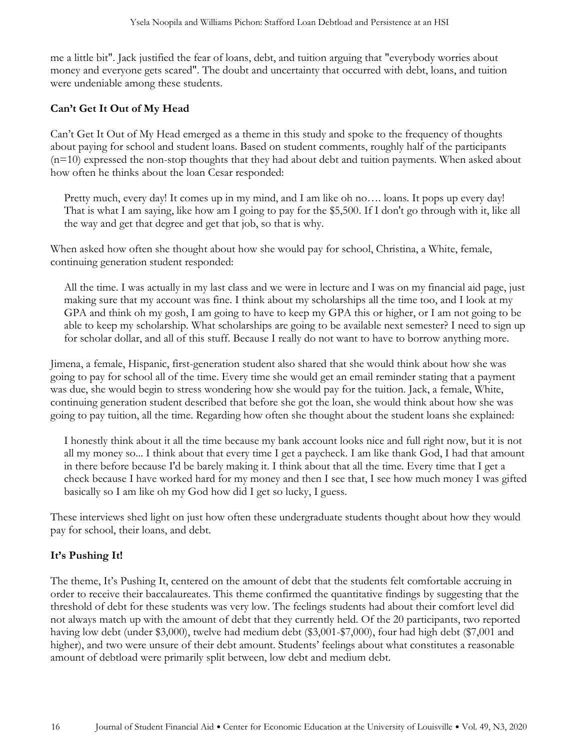me a little bit". Jack justified the fear of loans, debt, and tuition arguing that "everybody worries about money and everyone gets scared". The doubt and uncertainty that occurred with debt, loans, and tuition were undeniable among these students.

## **Can't Get It Out of My Head**

Can't Get It Out of My Head emerged as a theme in this study and spoke to the frequency of thoughts about paying for school and student loans. Based on student comments, roughly half of the participants  $(n=10)$  expressed the non-stop thoughts that they had about debt and tuition payments. When asked about how often he thinks about the loan Cesar responded:

Pretty much, every day! It comes up in my mind, and I am like oh no…. loans. It pops up every day! That is what I am saying, like how am I going to pay for the \$5,500. If I don't go through with it, like all the way and get that degree and get that job, so that is why.

When asked how often she thought about how she would pay for school, Christina, a White, female, continuing generation student responded:

All the time. I was actually in my last class and we were in lecture and I was on my financial aid page, just making sure that my account was fine. I think about my scholarships all the time too, and I look at my GPA and think oh my gosh, I am going to have to keep my GPA this or higher, or I am not going to be able to keep my scholarship. What scholarships are going to be available next semester? I need to sign up for scholar dollar, and all of this stuff. Because I really do not want to have to borrow anything more.

Jimena, a female, Hispanic, first-generation student also shared that she would think about how she was going to pay for school all of the time. Every time she would get an email reminder stating that a payment was due, she would begin to stress wondering how she would pay for the tuition. Jack, a female, White, continuing generation student described that before she got the loan, she would think about how she was going to pay tuition, all the time. Regarding how often she thought about the student loans she explained:

I honestly think about it all the time because my bank account looks nice and full right now, but it is not all my money so... I think about that every time I get a paycheck. I am like thank God, I had that amount in there before because I'd be barely making it. I think about that all the time. Every time that I get a check because I have worked hard for my money and then I see that, I see how much money I was gifted basically so I am like oh my God how did I get so lucky, I guess.

These interviews shed light on just how often these undergraduate students thought about how they would pay for school, their loans, and debt.

## **It's Pushing It!**

The theme, It's Pushing It, centered on the amount of debt that the students felt comfortable accruing in order to receive their baccalaureates. This theme confirmed the quantitative findings by suggesting that the threshold of debt for these students was very low. The feelings students had about their comfort level did not always match up with the amount of debt that they currently held. Of the 20 participants, two reported having low debt (under \$3,000), twelve had medium debt (\$3,001-\$7,000), four had high debt (\$7,001 and higher), and two were unsure of their debt amount. Students' feelings about what constitutes a reasonable amount of debtload were primarily split between, low debt and medium debt.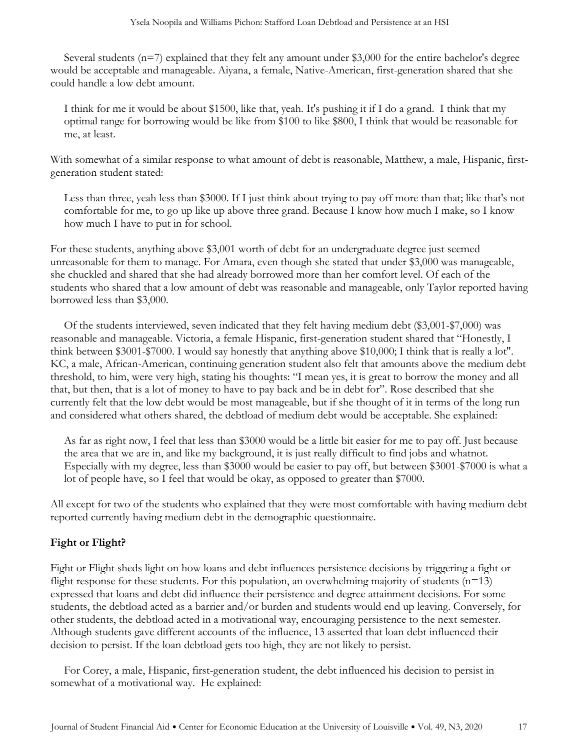Several students (n=7) explained that they felt any amount under \$3,000 for the entire bachelor's degree would be acceptable and manageable. Aiyana, a female, Native-American, first-generation shared that she could handle a low debt amount.

I think for me it would be about \$1500, like that, yeah. It's pushing it if I do a grand. I think that my optimal range for borrowing would be like from \$100 to like \$800, I think that would be reasonable for me, at least.

With somewhat of a similar response to what amount of debt is reasonable, Matthew, a male, Hispanic, firstgeneration student stated:

Less than three, yeah less than \$3000. If I just think about trying to pay off more than that; like that's not comfortable for me, to go up like up above three grand. Because I know how much I make, so I know how much I have to put in for school.

For these students, anything above \$3,001 worth of debt for an undergraduate degree just seemed unreasonable for them to manage. For Amara, even though she stated that under \$3,000 was manageable, she chuckled and shared that she had already borrowed more than her comfort level. Of each of the students who shared that a low amount of debt was reasonable and manageable, only Taylor reported having borrowed less than \$3,000.

Of the students interviewed, seven indicated that they felt having medium debt (\$3,001-\$7,000) was reasonable and manageable. Victoria, a female Hispanic, first-generation student shared that "Honestly, I think between \$3001-\$7000. I would say honestly that anything above \$10,000; I think that is really a lot". KC, a male, African-American, continuing generation student also felt that amounts above the medium debt threshold, to him, were very high, stating his thoughts: "I mean yes, it is great to borrow the money and all that, but then, that is a lot of money to have to pay back and be in debt for". Rose described that she currently felt that the low debt would be most manageable, but if she thought of it in terms of the long run and considered what others shared, the debtload of medium debt would be acceptable. She explained:

As far as right now, I feel that less than \$3000 would be a little bit easier for me to pay off. Just because the area that we are in, and like my background, it is just really difficult to find jobs and whatnot. Especially with my degree, less than \$3000 would be easier to pay off, but between \$3001-\$7000 is what a lot of people have, so I feel that would be okay, as opposed to greater than \$7000.

All except for two of the students who explained that they were most comfortable with having medium debt reported currently having medium debt in the demographic questionnaire.

## **Fight or Flight?**

Fight or Flight sheds light on how loans and debt influences persistence decisions by triggering a fight or flight response for these students. For this population, an overwhelming majority of students  $(n=13)$ expressed that loans and debt did influence their persistence and degree attainment decisions. For some students, the debtload acted as a barrier and/or burden and students would end up leaving. Conversely, for other students, the debtload acted in a motivational way, encouraging persistence to the next semester. Although students gave different accounts of the influence, 13 asserted that loan debt influenced their decision to persist. If the loan debtload gets too high, they are not likely to persist.

For Corey, a male, Hispanic, first-generation student, the debt influenced his decision to persist in somewhat of a motivational way. He explained: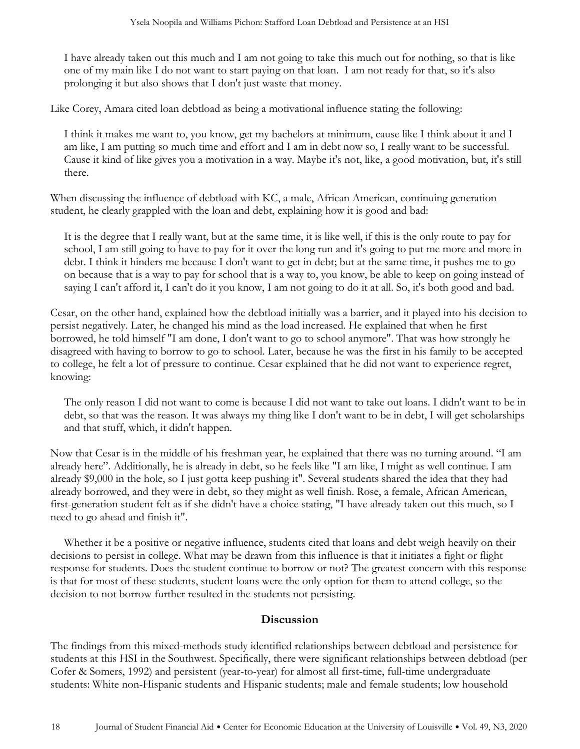I have already taken out this much and I am not going to take this much out for nothing, so that is like one of my main like I do not want to start paying on that loan. I am not ready for that, so it's also prolonging it but also shows that I don't just waste that money.

Like Corey, Amara cited loan debtload as being a motivational influence stating the following:

I think it makes me want to, you know, get my bachelors at minimum, cause like I think about it and I am like, I am putting so much time and effort and I am in debt now so, I really want to be successful. Cause it kind of like gives you a motivation in a way. Maybe it's not, like, a good motivation, but, it's still there.

When discussing the influence of debtload with KC, a male, African American, continuing generation student, he clearly grappled with the loan and debt, explaining how it is good and bad:

It is the degree that I really want, but at the same time, it is like well, if this is the only route to pay for school, I am still going to have to pay for it over the long run and it's going to put me more and more in debt. I think it hinders me because I don't want to get in debt; but at the same time, it pushes me to go on because that is a way to pay for school that is a way to, you know, be able to keep on going instead of saying I can't afford it, I can't do it you know, I am not going to do it at all. So, it's both good and bad.

Cesar, on the other hand, explained how the debtload initially was a barrier, and it played into his decision to persist negatively. Later, he changed his mind as the load increased. He explained that when he first borrowed, he told himself "I am done, I don't want to go to school anymore". That was how strongly he disagreed with having to borrow to go to school. Later, because he was the first in his family to be accepted to college, he felt a lot of pressure to continue. Cesar explained that he did not want to experience regret, knowing:

The only reason I did not want to come is because I did not want to take out loans. I didn't want to be in debt, so that was the reason. It was always my thing like I don't want to be in debt, I will get scholarships and that stuff, which, it didn't happen.

Now that Cesar is in the middle of his freshman year, he explained that there was no turning around. "I am already here". Additionally, he is already in debt, so he feels like "I am like, I might as well continue. I am already \$9,000 in the hole, so I just gotta keep pushing it". Several students shared the idea that they had already borrowed, and they were in debt, so they might as well finish. Rose, a female, African American, first-generation student felt as if she didn't have a choice stating, "I have already taken out this much, so I need to go ahead and finish it".

Whether it be a positive or negative influence, students cited that loans and debt weigh heavily on their decisions to persist in college. What may be drawn from this influence is that it initiates a fight or flight response for students. Does the student continue to borrow or not? The greatest concern with this response is that for most of these students, student loans were the only option for them to attend college, so the decision to not borrow further resulted in the students not persisting.

## **Discussion**

The findings from this mixed-methods study identified relationships between debtload and persistence for students at this HSI in the Southwest. Specifically, there were significant relationships between debtload (per Cofer & Somers, 1992) and persistent (year-to-year) for almost all first-time, full-time undergraduate students: White non-Hispanic students and Hispanic students; male and female students; low household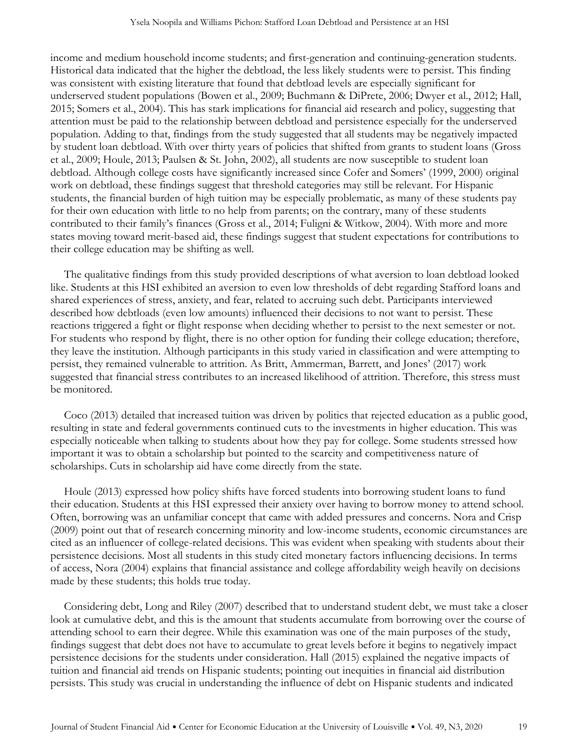income and medium household income students; and first-generation and continuing-generation students. Historical data indicated that the higher the debtload, the less likely students were to persist. This finding was consistent with existing literature that found that debtload levels are especially significant for underserved student populations (Bowen et al., 2009; Buchmann & DiPrete, 2006; Dwyer et al., 2012; Hall, 2015; Somers et al., 2004). This has stark implications for financial aid research and policy, suggesting that attention must be paid to the relationship between debtload and persistence especially for the underserved population. Adding to that, findings from the study suggested that all students may be negatively impacted by student loan debtload. With over thirty years of policies that shifted from grants to student loans (Gross et al., 2009; Houle, 2013; Paulsen & St. John, 2002), all students are now susceptible to student loan debtload. Although college costs have significantly increased since Cofer and Somers' (1999, 2000) original work on debtload, these findings suggest that threshold categories may still be relevant. For Hispanic students, the financial burden of high tuition may be especially problematic, as many of these students pay for their own education with little to no help from parents; on the contrary, many of these students contributed to their family's finances (Gross et al., 2014; Fuligni & Witkow, 2004). With more and more states moving toward merit-based aid, these findings suggest that student expectations for contributions to their college education may be shifting as well.

The qualitative findings from this study provided descriptions of what aversion to loan debtload looked like. Students at this HSI exhibited an aversion to even low thresholds of debt regarding Stafford loans and shared experiences of stress, anxiety, and fear, related to accruing such debt. Participants interviewed described how debtloads (even low amounts) influenced their decisions to not want to persist. These reactions triggered a fight or flight response when deciding whether to persist to the next semester or not. For students who respond by flight, there is no other option for funding their college education; therefore, they leave the institution. Although participants in this study varied in classification and were attempting to persist, they remained vulnerable to attrition. As Britt, Ammerman, Barrett, and Jones' (2017) work suggested that financial stress contributes to an increased likelihood of attrition. Therefore, this stress must be monitored.

Coco (2013) detailed that increased tuition was driven by politics that rejected education as a public good, resulting in state and federal governments continued cuts to the investments in higher education. This was especially noticeable when talking to students about how they pay for college. Some students stressed how important it was to obtain a scholarship but pointed to the scarcity and competitiveness nature of scholarships. Cuts in scholarship aid have come directly from the state.

Houle (2013) expressed how policy shifts have forced students into borrowing student loans to fund their education. Students at this HSI expressed their anxiety over having to borrow money to attend school. Often, borrowing was an unfamiliar concept that came with added pressures and concerns. Nora and Crisp (2009) point out that of research concerning minority and low-income students, economic circumstances are cited as an influencer of college-related decisions. This was evident when speaking with students about their persistence decisions. Most all students in this study cited monetary factors influencing decisions. In terms of access, Nora (2004) explains that financial assistance and college affordability weigh heavily on decisions made by these students; this holds true today.

Considering debt, Long and Riley (2007) described that to understand student debt, we must take a closer look at cumulative debt, and this is the amount that students accumulate from borrowing over the course of attending school to earn their degree. While this examination was one of the main purposes of the study, findings suggest that debt does not have to accumulate to great levels before it begins to negatively impact persistence decisions for the students under consideration. Hall (2015) explained the negative impacts of tuition and financial aid trends on Hispanic students; pointing out inequities in financial aid distribution persists. This study was crucial in understanding the influence of debt on Hispanic students and indicated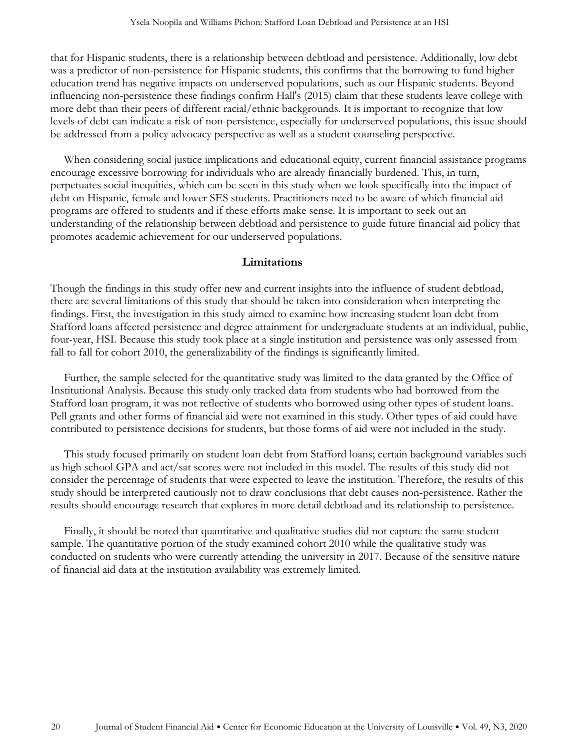that for Hispanic students, there is a relationship between debtload and persistence. Additionally, low debt was a predictor of non-persistence for Hispanic students, this confirms that the borrowing to fund higher education trend has negative impacts on underserved populations, such as our Hispanic students. Beyond influencing non-persistence these findings confirm Hall's (2015) claim that these students leave college with more debt than their peers of different racial/ethnic backgrounds. It is important to recognize that low levels of debt can indicate a risk of non-persistence, especially for underserved populations, this issue should be addressed from a policy advocacy perspective as well as a student counseling perspective.

When considering social justice implications and educational equity, current financial assistance programs encourage excessive borrowing for individuals who are already financially burdened. This, in turn, perpetuates social inequities, which can be seen in this study when we look specifically into the impact of debt on Hispanic, female and lower SES students. Practitioners need to be aware of which financial aid programs are offered to students and if these efforts make sense. It is important to seek out an understanding of the relationship between debtload and persistence to guide future financial aid policy that promotes academic achievement for our underserved populations.

## **Limitations**

Though the findings in this study offer new and current insights into the influence of student debtload, there are several limitations of this study that should be taken into consideration when interpreting the findings. First, the investigation in this study aimed to examine how increasing student loan debt from Stafford loans affected persistence and degree attainment for undergraduate students at an individual, public, four-year, HSI. Because this study took place at a single institution and persistence was only assessed from fall to fall for cohort 2010, the generalizability of the findings is significantly limited.

Further, the sample selected for the quantitative study was limited to the data granted by the Office of Institutional Analysis. Because this study only tracked data from students who had borrowed from the Stafford loan program, it was not reflective of students who borrowed using other types of student loans. Pell grants and other forms of financial aid were not examined in this study. Other types of aid could have contributed to persistence decisions for students, but those forms of aid were not included in the study.

This study focused primarily on student loan debt from Stafford loans; certain background variables such as high school GPA and act/sat scores were not included in this model. The results of this study did not consider the percentage of students that were expected to leave the institution. Therefore, the results of this study should be interpreted cautiously not to draw conclusions that debt causes non-persistence. Rather the results should encourage research that explores in more detail debtload and its relationship to persistence.

Finally, it should be noted that quantitative and qualitative studies did not capture the same student sample. The quantitative portion of the study examined cohort 2010 while the qualitative study was conducted on students who were currently attending the university in 2017. Because of the sensitive nature of financial aid data at the institution availability was extremely limited.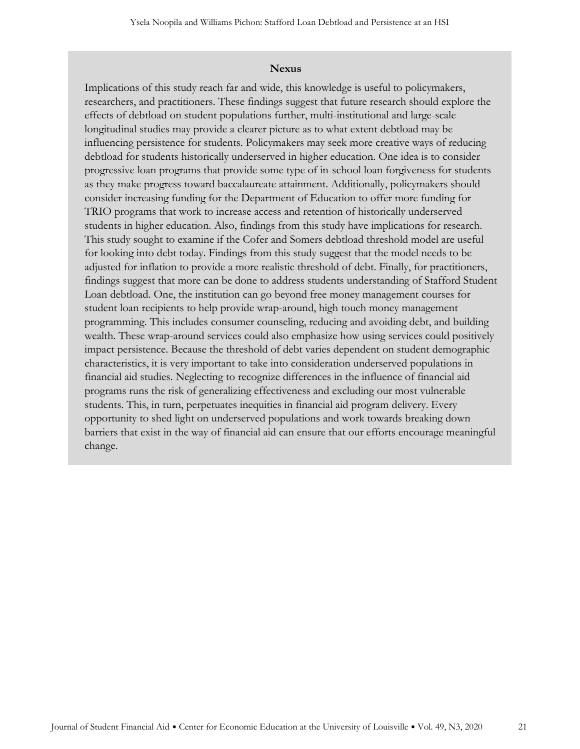#### **Nexus**

Implications of this study reach far and wide, this knowledge is useful to policymakers, researchers, and practitioners. These findings suggest that future research should explore the effects of debtload on student populations further, multi-institutional and large-scale longitudinal studies may provide a clearer picture as to what extent debtload may be influencing persistence for students. Policymakers may seek more creative ways of reducing debtload for students historically underserved in higher education. One idea is to consider progressive loan programs that provide some type of in-school loan forgiveness for students as they make progress toward baccalaureate attainment. Additionally, policymakers should consider increasing funding for the Department of Education to offer more funding for TRIO programs that work to increase access and retention of historically underserved students in higher education. Also, findings from this study have implications for research. This study sought to examine if the Cofer and Somers debtload threshold model are useful for looking into debt today. Findings from this study suggest that the model needs to be adjusted for inflation to provide a more realistic threshold of debt. Finally, for practitioners, findings suggest that more can be done to address students understanding of Stafford Student Loan debtload. One, the institution can go beyond free money management courses for student loan recipients to help provide wrap-around, high touch money management programming. This includes consumer counseling, reducing and avoiding debt, and building wealth. These wrap-around services could also emphasize how using services could positively impact persistence. Because the threshold of debt varies dependent on student demographic characteristics, it is very important to take into consideration underserved populations in financial aid studies. Neglecting to recognize differences in the influence of financial aid programs runs the risk of generalizing effectiveness and excluding our most vulnerable students. This, in turn, perpetuates inequities in financial aid program delivery. Every opportunity to shed light on underserved populations and work towards breaking down barriers that exist in the way of financial aid can ensure that our efforts encourage meaningful change.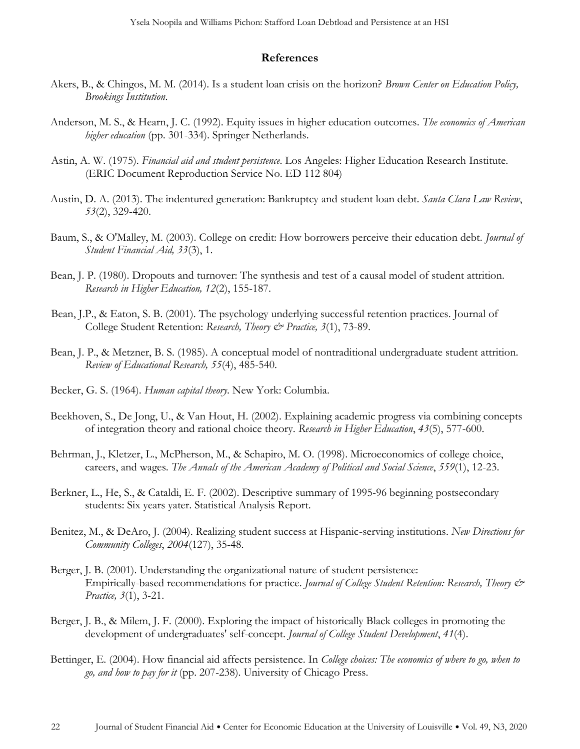#### **References**

- Akers, B., & Chingos, M. M. (2014). Is a student loan crisis on the horizon? *Brown Center on Education Policy, Brookings Institution*.
- Anderson, M. S., & Hearn, J. C. (1992). Equity issues in higher education outcomes. *The economics of American higher education* (pp. 301-334). Springer Netherlands.
- Astin, A. W. (1975). *Financial aid and student persistence*. Los Angeles: Higher Education Research Institute. (ERIC Document Reproduction Service No. ED 112 804)
- Austin, D. A. (2013). The indentured generation: Bankruptcy and student loan debt. *Santa Clara Law Review*, *53*(2), 329-420.
- Baum, S., & O'Malley, M. (2003). College on credit: How borrowers perceive their education debt. *Journal of Student Financial Aid, 33*(3), 1.
- Bean, J. P. (1980). Dropouts and turnover: The synthesis and test of a causal model of student attrition. *Research in Higher Education, 12*(2), 155-187.
- Bean, J.P., & Eaton, S. B. (2001). The psychology underlying successful retention practices. Journal of College Student Retention: *Research, Theory & Practice, 3*(1), 73-89.
- Bean, J. P., & Metzner, B. S. (1985). A conceptual model of nontraditional undergraduate student attrition. *Review of Educational Research, 55*(4), 485-540.
- Becker, G. S. (1964). *Human capital theory*. New York: Columbia.
- Beekhoven, S., De Jong, U., & Van Hout, H. (2002). Explaining academic progress via combining concepts of integration theory and rational choice theory. *Research in Higher Education*, *43*(5), 577-600.
- Behrman, J., Kletzer, L., McPherson, M., & Schapiro, M. O. (1998). Microeconomics of college choice, careers, and wages. *The Annals of the American Academy of Political and Social Science*, *559*(1), 12-23.
- Berkner, L., He, S., & Cataldi, E. F. (2002). Descriptive summary of 1995-96 beginning postsecondary students: Six years yater. Statistical Analysis Report.
- Benitez, M., & DeAro, J. (2004). Realizing student success at Hispanic‐serving institutions. *New Directions for Community Colleges*, *2004*(127), 35-48.
- Berger, J. B. (2001). Understanding the organizational nature of student persistence: Empirically-based recommendations for practice. *Journal of College Student Retention: Research, Theory & Practice, 3*(1), 3-21.
- Berger, J. B., & Milem, J. F. (2000). Exploring the impact of historically Black colleges in promoting the development of undergraduates' self-concept. *Journal of College Student Development*, *41*(4).
- Bettinger, E. (2004). How financial aid affects persistence. In *College choices: The economics of where to go, when to go, and how to pay for it* (pp. 207-238). University of Chicago Press.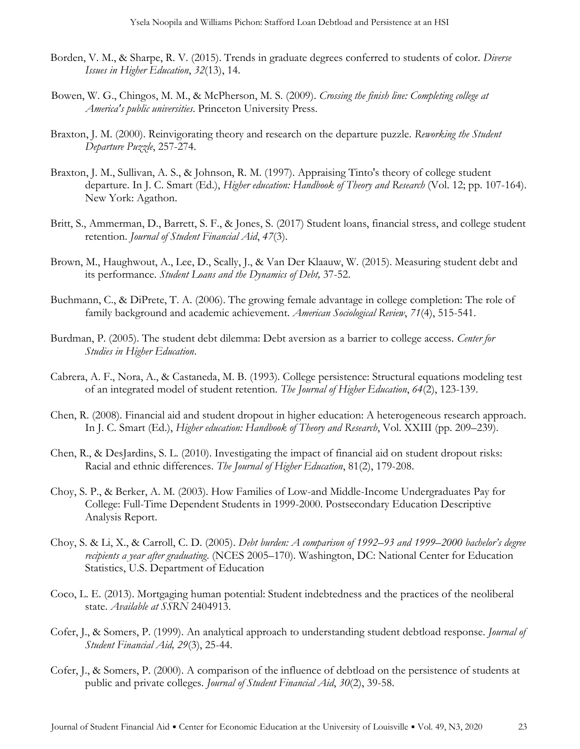- Borden, V. M., & Sharpe, R. V. (2015). Trends in graduate degrees conferred to students of color. *Diverse Issues in Higher Education*, *32*(13), 14.
- Bowen, W. G., Chingos, M. M., & McPherson, M. S. (2009). *Crossing the finish line: Completing college at America's public universities*. Princeton University Press.
- Braxton, J. M. (2000). Reinvigorating theory and research on the departure puzzle. *Reworking the Student Departure Puzzle*, 257-274.
- Braxton, J. M., Sullivan, A. S., & Johnson, R. M. (1997). Appraising Tinto's theory of college student departure. In J. C. Smart (Ed.), *Higher education: Handbook of Theory and Research* (Vol. 12; pp. 107-164). New York: Agathon.
- Britt, S., Ammerman, D., Barrett, S. F., & Jones, S. (2017) Student loans, financial stress, and college student retention. *Journal of Student Financial Aid*, *47*(3).
- Brown, M., Haughwout, A., Lee, D., Scally, J., & Van Der Klaauw, W. (2015). Measuring student debt and its performance. *Student Loans and the Dynamics of Debt,* 37-52.
- Buchmann, C., & DiPrete, T. A. (2006). The growing female advantage in college completion: The role of family background and academic achievement. *American Sociological Review*, *71*(4), 515-541.
- Burdman, P. (2005). The student debt dilemma: Debt aversion as a barrier to college access. *Center for Studies in Higher Education*.
- Cabrera, A. F., Nora, A., & Castaneda, M. B. (1993). College persistence: Structural equations modeling test of an integrated model of student retention. *The Journal of Higher Education*, *64*(2), 123-139.
- Chen, R. (2008). Financial aid and student dropout in higher education: A heterogeneous research approach. In J. C. Smart (Ed.), *Higher education: Handbook of Theory and Research*, Vol. XXIII (pp. 209–239).
- Chen, R., & DesJardins, S. L. (2010). Investigating the impact of financial aid on student dropout risks: Racial and ethnic differences. *The Journal of Higher Education*, 81(2), 179-208.
- Choy, S. P., & Berker, A. M. (2003). How Families of Low-and Middle-Income Undergraduates Pay for College: Full-Time Dependent Students in 1999-2000. Postsecondary Education Descriptive Analysis Report.
- Choy, S. & Li, X., & Carroll, C. D. (2005). *Debt burden: A comparison of 1992–93 and 1999–2000 bachelor's degree recipients a year after graduating*. (NCES 2005–170). Washington, DC: National Center for Education Statistics, U.S. Department of Education
- Coco, L. E. (2013). Mortgaging human potential: Student indebtedness and the practices of the neoliberal state. *Available at SSRN* 2404913.
- Cofer, J., & Somers, P. (1999). An analytical approach to understanding student debtload response. *Journal of Student Financial Aid, 29*(3), 25-44.
- Cofer, J., & Somers, P. (2000). A comparison of the influence of debtload on the persistence of students at public and private colleges. *Journal of Student Financial Aid*, *30*(2), 39-58.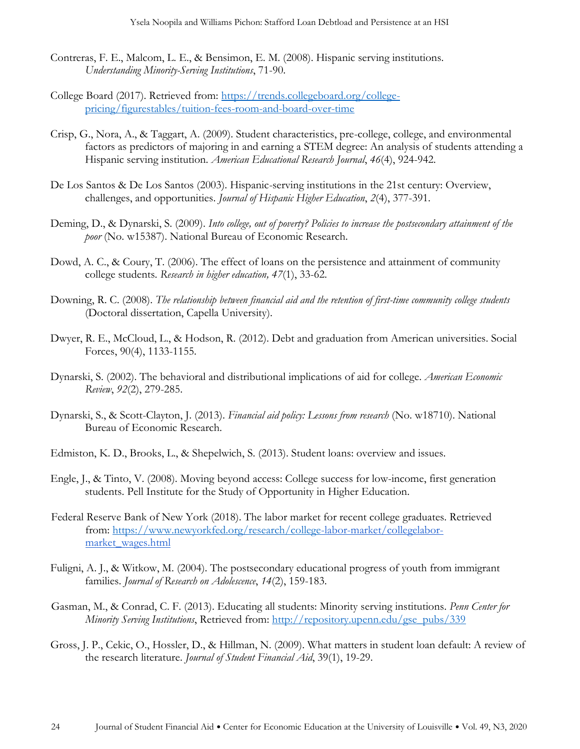- Contreras, F. E., Malcom, L. E., & Bensimon, E. M. (2008). Hispanic serving institutions. *Understanding Minority-Serving Institutions*, 71-90.
- College Board (2017). Retrieved from: [https://trends.collegeboard.org/college](https://trends.collegeboard.org/college-pricing/figures-tables/tuition-fees-room-and-board-over-time)[pricing/figurestables/tuition-fees-room-and-board-over-time](https://trends.collegeboard.org/college-pricing/figures-tables/tuition-fees-room-and-board-over-time)
- Crisp, G., Nora, A., & Taggart, A. (2009). Student characteristics, pre-college, college, and environmental factors as predictors of majoring in and earning a STEM degree: An analysis of students attending a Hispanic serving institution. *American Educational Research Journal*, *46*(4), 924-942.
- De Los Santos & De Los Santos (2003). Hispanic-serving institutions in the 21st century: Overview, challenges, and opportunities. *Journal of Hispanic Higher Education*, *2*(4), 377-391.
- Deming, D., & Dynarski, S. (2009). *Into college, out of poverty? Policies to increase the postsecondary attainment of the poor* (No. w15387). National Bureau of Economic Research.
- Dowd, A. C., & Coury, T. (2006). The effect of loans on the persistence and attainment of community college students. *Research in higher education, 47*(1), 33-62.
- Downing, R. C. (2008). *The relationship between financial aid and the retention of first-time community college students* (Doctoral dissertation, Capella University).
- Dwyer, R. E., McCloud, L., & Hodson, R. (2012). Debt and graduation from American universities. Social Forces, 90(4), 1133-1155.
- Dynarski, S. (2002). The behavioral and distributional implications of aid for college. *American Economic Review*, *92*(2), 279-285.
- Dynarski, S., & Scott-Clayton, J. (2013). *Financial aid policy: Lessons from research* (No. w18710). National Bureau of Economic Research.
- Edmiston, K. D., Brooks, L., & Shepelwich, S. (2013). Student loans: overview and issues.
- Engle, J., & Tinto, V. (2008). Moving beyond access: College success for low-income, first generation students. Pell Institute for the Study of Opportunity in Higher Education.
- Federal Reserve Bank of New York (2018). The labor market for recent college graduates. Retrieved from: <https://www.newyorkfed.org/research/college>[-labor-market/collegelabor](https://www.newyorkfed.org/research/college-labor-market/college-labor-market_wages.html)[market\\_wages.html](https://www.newyorkfed.org/research/college-labor-market/college-labor-market_wages.html)
- Fuligni, A. J., & Witkow, M. (2004). The postsecondary educational progress of youth from immigrant families. *Journal of Research on Adolescence*, *14*(2), 159-183.
- Gasman, M., & Conrad, C. F. (2013). Educating all students: Minority serving institutions. *Penn Center for Minority Serving Institutions*, Retrieved from: [http://repository.upenn.edu/gse\\_pubs/339](http://repository.upenn.edu/gse_pubs/339)
- Gross, J. P., Cekic, O., Hossler, D., & Hillman, N. (2009). What matters in student loan default: A review of the research literature. *Journal of Student Financial Aid*, 39(1), 19-29.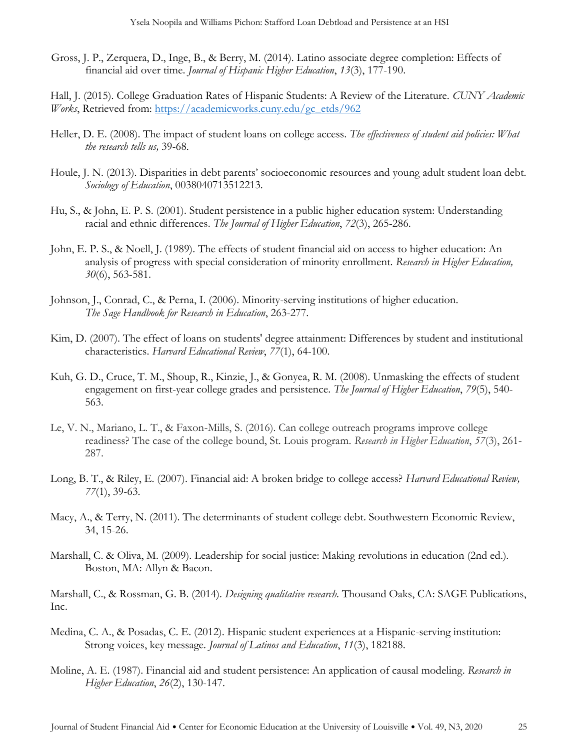Gross, J. P., Zerquera, D., Inge, B., & Berry, M. (2014). Latino associate degree completion: Effects of financial aid over time. *Journal of Hispanic Higher Education*, *13*(3), 177-190.

Hall, J. (2015). College Graduation Rates of Hispanic Students: A Review of the Literature. *CUNY Academic Works*, Retrieved from: [https://academicworks.cuny.edu/gc\\_etds/962](https://academicworks.cuny.edu/gc_etds/962)

- Heller, D. E. (2008). The impact of student loans on college access. *The effectiveness of student aid policies: What the research tells us,* 39-68.
- Houle, J. N. (2013). Disparities in debt parents' socioeconomic resources and young adult student loan debt. *Sociology of Education*, 0038040713512213.
- Hu, S., & John, E. P. S. (2001). Student persistence in a public higher education system: Understanding racial and ethnic differences. *The Journal of Higher Education*, *72*(3), 265-286.
- John, E. P. S., & Noell, J. (1989). The effects of student financial aid on access to higher education: An analysis of progress with special consideration of minority enrollment. *Research in Higher Education, 30*(6), 563-581.
- Johnson, J., Conrad, C., & Perna, I. (2006). Minority-serving institutions of higher education. *The Sage Handbook for Research in Education*, 263-277.
- Kim, D. (2007). The effect of loans on students' degree attainment: Differences by student and institutional characteristics. *Harvard Educational Review*, *77*(1), 64-100.
- Kuh, G. D., Cruce, T. M., Shoup, R., Kinzie, J., & Gonyea, R. M. (2008). Unmasking the effects of student engagement on first-year college grades and persistence. *The Journal of Higher Education*, *79*(5), 540- 563.
- Le, V. N., Mariano, L. T., & Faxon-Mills, S. (2016). Can college outreach programs improve college readiness? The case of the college bound, St. Louis program. *Research in Higher Education*, *57*(3), 261- 287.
- Long, B. T., & Riley, E. (2007). Financial aid: A broken bridge to college access? *Harvard Educational Review, 77*(1), 39-63.
- Macy, A., & Terry, N. (2011). The determinants of student college debt. Southwestern Economic Review, 34, 15-26.
- Marshall, C. & Oliva, M. (2009). Leadership for social justice: Making revolutions in education (2nd ed.). Boston, MA: Allyn & Bacon.

Marshall, C., & Rossman, G. B. (2014). *Designing qualitative research*. Thousand Oaks, CA: SAGE Publications, Inc.

- Medina, C. A., & Posadas, C. E. (2012). Hispanic student experiences at a Hispanic-serving institution: Strong voices, key message. *Journal of Latinos and Education*, *11*(3), 182188.
- Moline, A. E. (1987). Financial aid and student persistence: An application of causal modeling. *Research in Higher Education*, *26*(2), 130-147.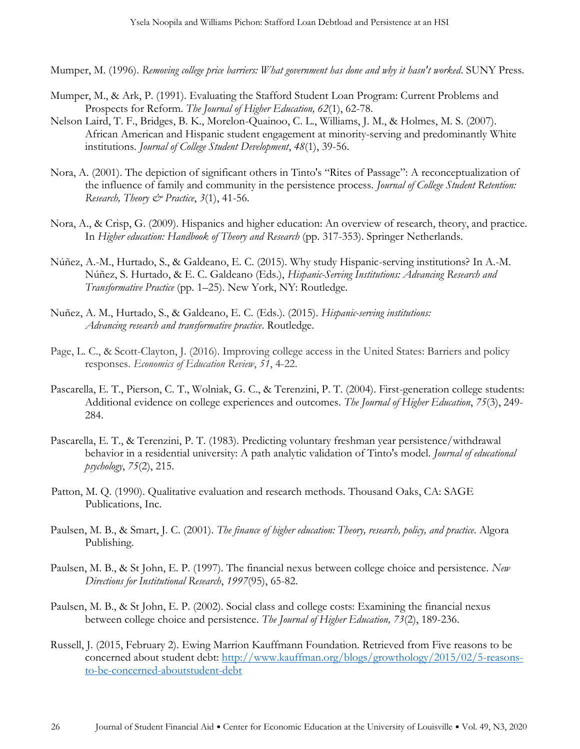Mumper, M. (1996). *Removing college price barriers: What government has done and why it hasn't worked*. SUNY Press.

- Mumper, M., & Ark, P. (1991). Evaluating the Stafford Student Loan Program: Current Problems and Prospects for Reform. *The Journal of Higher Education, 62*(1), 62-78.
- Nelson Laird, T. F., Bridges, B. K., Morelon-Quainoo, C. L., Williams, J. M., & Holmes, M. S. (2007). African American and Hispanic student engagement at minority-serving and predominantly White institutions. *Journal of College Student Development*, *48*(1), 39-56.
- Nora, A. (2001). The depiction of significant others in Tinto's "Rites of Passage": A reconceptualization of the influence of family and community in the persistence process. *Journal of College Student Retention: Research, Theory & Practice*, *3*(1), 41-56.
- Nora, A., & Crisp, G. (2009). Hispanics and higher education: An overview of research, theory, and practice. In *Higher education: Handbook of Theory and Research* (pp. 317-353). Springer Netherlands.
- Núñez, A.-M., Hurtado, S., & Galdeano, E. C. (2015). Why study Hispanic-serving institutions? In A.-M. Núñez, S. Hurtado, & E. C. Galdeano (Eds.), *Hispanic-Serving Institutions: Advancing Research and Transformative Practice* (pp. 1–25). New York, NY: Routledge.
- Nuñez, A. M., Hurtado, S., & Galdeano, E. C. (Eds.). (2015). *Hispanic-serving institutions: Advancing research and transformative practice*. Routledge.
- Page, L. C., & Scott-Clayton, J. (2016). Improving college access in the United States: Barriers and policy responses. *Economics of Education Review*, *51*, 4-22.
- Pascarella, E. T., Pierson, C. T., Wolniak, G. C., & Terenzini, P. T. (2004). First-generation college students: Additional evidence on college experiences and outcomes. *The Journal of Higher Education*, *75*(3), 249- 284.
- Pascarella, E. T., & Terenzini, P. T. (1983). Predicting voluntary freshman year persistence/withdrawal behavior in a residential university: A path analytic validation of Tinto's model. *Journal of educational psychology*, *75*(2), 215.
- Patton, M. Q. (1990). Qualitative evaluation and research methods. Thousand Oaks, CA: SAGE Publications, Inc.
- Paulsen, M. B., & Smart, J. C. (2001). *The finance of higher education: Theory, research, policy, and practice*. Algora Publishing.
- Paulsen, M. B., & St John, E. P. (1997). The financial nexus between college choice and persistence. *New Directions for Institutional Research*, *1997*(95), 65-82.
- Paulsen, M. B., & St John, E. P. (2002). Social class and college costs: Examining the financial nexus between college choice and persistence. *The Journal of Higher Education, 73*(2), 189-236.
- Russell, J. (2015, February 2). Ewing Marrion Kauffmann Foundation. Retrieved from Five reasons to be concerned about student debt: [http://www.kauffman.org/blogs/growthology/2015/02/5-reasons](http://www.kauffman.org/blogs/growthology/2015/02/5-reasons-to-be-concerned-about-student-debt)[to-be-concerned-aboutstudent-debt](http://www.kauffman.org/blogs/growthology/2015/02/5-reasons-to-be-concerned-about-student-debt)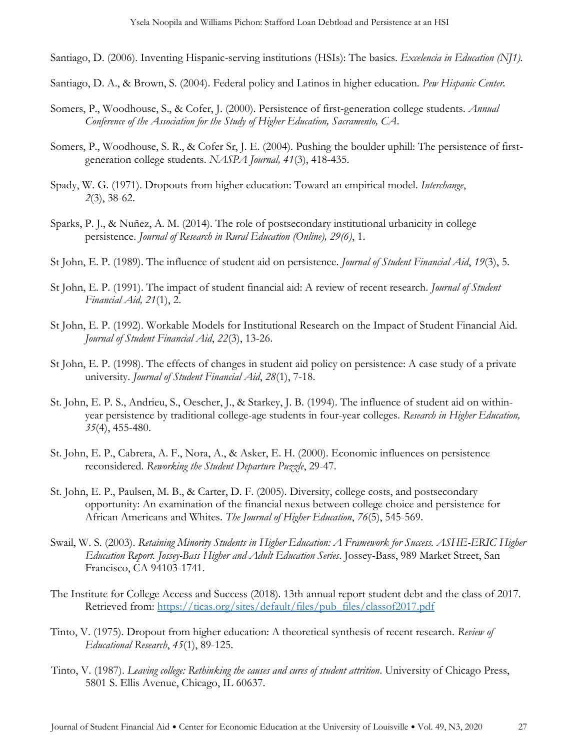Santiago, D. (2006). Inventing Hispanic-serving institutions (HSIs): The basics. *Excelencia in Education (NJ1).*

Santiago, D. A., & Brown, S. (2004). Federal policy and Latinos in higher education*. Pew Hispanic Center.* 

- Somers, P., Woodhouse, S., & Cofer, J. (2000). Persistence of first-generation college students. *Annual Conference of the Association for the Study of Higher Education, Sacramento, CA*.
- Somers, P., Woodhouse, S. R., & Cofer Sr, J. E. (2004). Pushing the boulder uphill: The persistence of firstgeneration college students. *NASPA Journal, 41*(3), 418-435.
- Spady, W. G. (1971). Dropouts from higher education: Toward an empirical model. *Interchange*, *2*(3), 38-62.
- Sparks, P. J., & Nuñez, A. M. (2014). The role of postsecondary institutional urbanicity in college persistence. *Journal of Research in Rural Education (Online), 29(6)*, 1.
- St John, E. P. (1989). The influence of student aid on persistence. *Journal of Student Financial Aid*, *19*(3), 5.
- St John, E. P. (1991). The impact of student financial aid: A review of recent research. *Journal of Student Financial Aid, 21*(1), 2.
- St John, E. P. (1992). Workable Models for Institutional Research on the Impact of Student Financial Aid. *Journal of Student Financial Aid*, *22*(3), 13-26.
- St John, E. P. (1998). The effects of changes in student aid policy on persistence: A case study of a private university. *Journal of Student Financial Aid*, *28*(1), 7-18.
- St. John, E. P. S., Andrieu, S., Oescher, J., & Starkey, J. B. (1994). The influence of student aid on withinyear persistence by traditional college-age students in four-year colleges. *Research in Higher Education, 35*(4), 455-480.
- St. John, E. P., Cabrera, A. F., Nora, A., & Asker, E. H. (2000). Economic influences on persistence reconsidered. *Reworking the Student Departure Puzzle*, 29-47.
- St. John, E. P., Paulsen, M. B., & Carter, D. F. (2005). Diversity, college costs, and postsecondary opportunity: An examination of the financial nexus between college choice and persistence for African Americans and Whites. *The Journal of Higher Education*, *76*(5), 545-569.
- Swail, W. S. (2003). *Retaining Minority Students in Higher Education: A Framework for Success. ASHE-ERIC Higher Education Report. Jossey-Bass Higher and Adult Education Series*. Jossey-Bass, 989 Market Street, San Francisco, CA 94103-1741.
- The Institute for College Access and Success (2018). 13th annual report student debt and the class of 2017. Retrieved from: [https://ticas.org/sites/default/files/pub\\_files/classof2017.pdf](https://ticas.org/sites/default/files/pub_files/classof2017.pdf)
- Tinto, V. (1975). Dropout from higher education: A theoretical synthesis of recent research. *Review of Educational Research*, *45*(1), 89-125.
- Tinto, V. (1987). *Leaving college: Rethinking the causes and cures of student attrition*. University of Chicago Press, 5801 S. Ellis Avenue, Chicago, IL 60637.